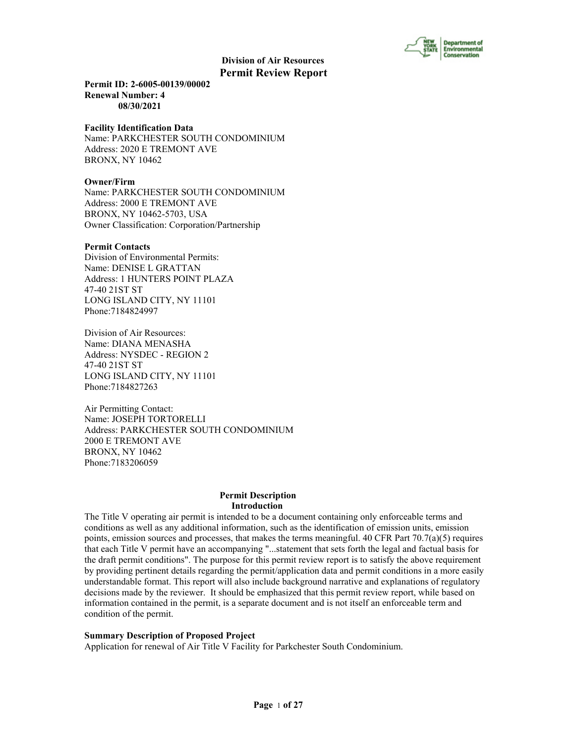

**Permit ID: 2-6005-00139/00002 Renewal Number: 4 08/30/2021**

#### **Facility Identification Data**

Name: PARKCHESTER SOUTH CONDOMINIUM Address: 2020 E TREMONT AVE BRONX, NY 10462

# **Owner/Firm**

Name: PARKCHESTER SOUTH CONDOMINIUM Address: 2000 E TREMONT AVE BRONX, NY 10462-5703, USA Owner Classification: Corporation/Partnership

#### **Permit Contacts**

Division of Environmental Permits: Name: DENISE L GRATTAN Address: 1 HUNTERS POINT PLAZA 47-40 21ST ST LONG ISLAND CITY, NY 11101 Phone:7184824997

Division of Air Resources: Name: DIANA MENASHA Address: NYSDEC - REGION 2 47-40 21ST ST LONG ISLAND CITY, NY 11101 Phone:7184827263

Air Permitting Contact: Name: JOSEPH TORTORELLI Address: PARKCHESTER SOUTH CONDOMINIUM 2000 E TREMONT AVE BRONX, NY 10462 Phone:7183206059

#### **Permit Description Introduction**

The Title V operating air permit is intended to be a document containing only enforceable terms and conditions as well as any additional information, such as the identification of emission units, emission points, emission sources and processes, that makes the terms meaningful. 40 CFR Part  $70.7(a)(5)$  requires that each Title V permit have an accompanying "...statement that sets forth the legal and factual basis for the draft permit conditions". The purpose for this permit review report is to satisfy the above requirement by providing pertinent details regarding the permit/application data and permit conditions in a more easily understandable format. This report will also include background narrative and explanations of regulatory decisions made by the reviewer. It should be emphasized that this permit review report, while based on information contained in the permit, is a separate document and is not itself an enforceable term and condition of the permit.

#### **Summary Description of Proposed Project**

Application for renewal of Air Title V Facility for Parkchester South Condominium.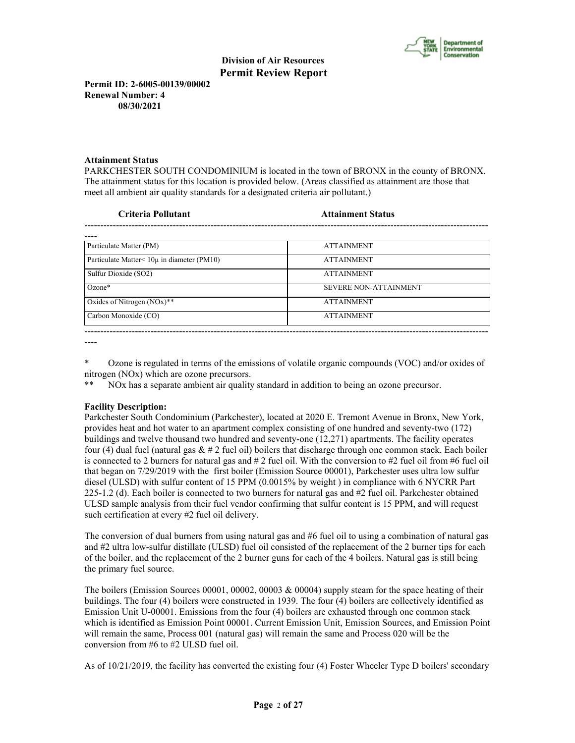

**Permit ID: 2-6005-00139/00002 Renewal Number: 4 08/30/2021**

# **Attainment Status**

PARKCHESTER SOUTH CONDOMINIUM is located in the town of BRONX in the county of BRONX. The attainment status for this location is provided below. (Areas classified as attainment are those that meet all ambient air quality standards for a designated criteria air pollutant.)

#### **Criteria Pollutant Attainment Status**

| Particulate Matter (PM)                    | <b>ATTAINMENT</b>            |
|--------------------------------------------|------------------------------|
| Particulate Matter< 10µ in diameter (PM10) | <b>ATTAINMENT</b>            |
| Sulfur Dioxide (SO2)                       | <b>ATTAINMENT</b>            |
| $Ozone*$                                   | <b>SEVERE NON-ATTAINMENT</b> |
| Oxides of Nitrogen $(NOx)$ **              | <b>ATTAINMENT</b>            |
| Carbon Monoxide (CO)                       | <b>ATTAINMENT</b>            |
|                                            |                              |

----

\* Ozone is regulated in terms of the emissions of volatile organic compounds (VOC) and/or oxides of nitrogen (NOx) which are ozone precursors.

\*\* NOx has a separate ambient air quality standard in addition to being an ozone precursor.

# **Facility Description:**

Parkchester South Condominium (Parkchester), located at 2020 E. Tremont Avenue in Bronx, New York, provides heat and hot water to an apartment complex consisting of one hundred and seventy-two (172) buildings and twelve thousand two hundred and seventy-one (12,271) apartments. The facility operates four (4) dual fuel (natural gas  $& 42$  fuel oil) boilers that discharge through one common stack. Each boiler is connected to 2 burners for natural gas and  $\# 2$  fuel oil. With the conversion to  $\# 2$  fuel oil from  $\# 6$  fuel oil that began on 7/29/2019 with the first boiler (Emission Source 00001), Parkchester uses ultra low sulfur diesel (ULSD) with sulfur content of 15 PPM (0.0015% by weight ) in compliance with 6 NYCRR Part 225-1.2 (d). Each boiler is connected to two burners for natural gas and #2 fuel oil. Parkchester obtained ULSD sample analysis from their fuel vendor confirming that sulfur content is 15 PPM, and will request such certification at every #2 fuel oil delivery.

The conversion of dual burners from using natural gas and #6 fuel oil to using a combination of natural gas and #2 ultra low-sulfur distillate (ULSD) fuel oil consisted of the replacement of the 2 burner tips for each of the boiler, and the replacement of the 2 burner guns for each of the 4 boilers. Natural gas is still being the primary fuel source.

The boilers (Emission Sources 00001, 00002, 00003 & 00004) supply steam for the space heating of their buildings. The four (4) boilers were constructed in 1939. The four (4) boilers are collectively identified as Emission Unit U-00001. Emissions from the four (4) boilers are exhausted through one common stack which is identified as Emission Point 00001. Current Emission Unit, Emission Sources, and Emission Point will remain the same, Process 001 (natural gas) will remain the same and Process 020 will be the conversion from #6 to #2 ULSD fuel oil.

As of 10/21/2019, the facility has converted the existing four (4) Foster Wheeler Type D boilers' secondary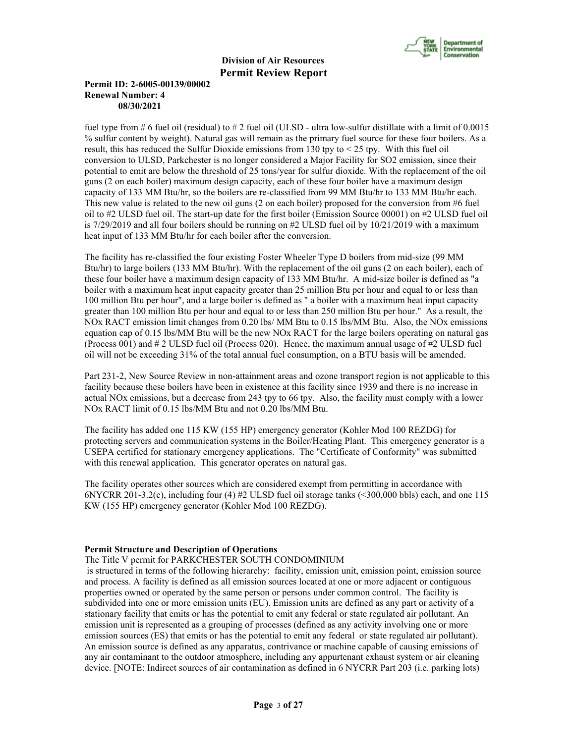

# **Permit ID: 2-6005-00139/00002 Renewal Number: 4 08/30/2021**

fuel type from # 6 fuel oil (residual) to # 2 fuel oil (ULSD - ultra low-sulfur distillate with a limit of  $0.0015$ % sulfur content by weight). Natural gas will remain as the primary fuel source for these four boilers. As a result, this has reduced the Sulfur Dioxide emissions from 130 tpy to  $<$  25 tpy. With this fuel oil conversion to ULSD, Parkchester is no longer considered a Major Facility for SO2 emission, since their potential to emit are below the threshold of 25 tons/year for sulfur dioxide. With the replacement of the oil guns (2 on each boiler) maximum design capacity, each of these four boiler have a maximum design capacity of 133 MM Btu/hr, so the boilers are re-classified from 99 MM Btu/hr to 133 MM Btu/hr each. This new value is related to the new oil guns (2 on each boiler) proposed for the conversion from #6 fuel oil to #2 ULSD fuel oil. The start-up date for the first boiler (Emission Source 00001) on #2 ULSD fuel oil is 7/29/2019 and all four boilers should be running on #2 ULSD fuel oil by 10/21/2019 with a maximum heat input of 133 MM Btu/hr for each boiler after the conversion.

The facility has re-classified the four existing Foster Wheeler Type D boilers from mid-size (99 MM Btu/hr) to large boilers (133 MM Btu/hr). With the replacement of the oil guns (2 on each boiler), each of these four boiler have a maximum design capacity of 133 MM Btu/hr. A mid-size boiler is defined as "a boiler with a maximum heat input capacity greater than 25 million Btu per hour and equal to or less than 100 million Btu per hour", and a large boiler is defined as " a boiler with a maximum heat input capacity greater than 100 million Btu per hour and equal to or less than 250 million Btu per hour." As a result, the NOx RACT emission limit changes from 0.20 lbs/ MM Btu to 0.15 lbs/MM Btu. Also, the NOx emissions equation cap of 0.15 lbs/MM Btu will be the new NOx RACT for the large boilers operating on natural gas (Process 001) and # 2 ULSD fuel oil (Process 020). Hence, the maximum annual usage of #2 ULSD fuel oil will not be exceeding 31% of the total annual fuel consumption, on a BTU basis will be amended.

Part 231-2, New Source Review in non-attainment areas and ozone transport region is not applicable to this facility because these boilers have been in existence at this facility since 1939 and there is no increase in actual NOx emissions, but a decrease from 243 tpy to 66 tpy. Also, the facility must comply with a lower NOx RACT limit of 0.15 lbs/MM Btu and not 0.20 lbs/MM Btu.

The facility has added one 115 KW (155 HP) emergency generator (Kohler Mod 100 REZDG) for protecting servers and communication systems in the Boiler/Heating Plant. This emergency generator is a USEPA certified for stationary emergency applications. The "Certificate of Conformity" was submitted with this renewal application. This generator operates on natural gas.

The facility operates other sources which are considered exempt from permitting in accordance with 6NYCRR 201-3.2(c), including four (4) #2 ULSD fuel oil storage tanks  $($  <300,000 bbls) each, and one 115 KW (155 HP) emergency generator (Kohler Mod 100 REZDG).

#### **Permit Structure and Description of Operations**

# The Title V permit for PARKCHESTER SOUTH CONDOMINIUM

is structured in terms of the following hierarchy: facility, emission unit, emission point, emission source and process. A facility is defined as all emission sources located at one or more adjacent or contiguous properties owned or operated by the same person or persons under common control. The facility is subdivided into one or more emission units (EU). Emission units are defined as any part or activity of a stationary facility that emits or has the potential to emit any federal or state regulated air pollutant. An emission unit is represented as a grouping of processes (defined as any activity involving one or more emission sources (ES) that emits or has the potential to emit any federal or state regulated air pollutant). An emission source is defined as any apparatus, contrivance or machine capable of causing emissions of any air contaminant to the outdoor atmosphere, including any appurtenant exhaust system or air cleaning device. [NOTE: Indirect sources of air contamination as defined in 6 NYCRR Part 203 (i.e. parking lots)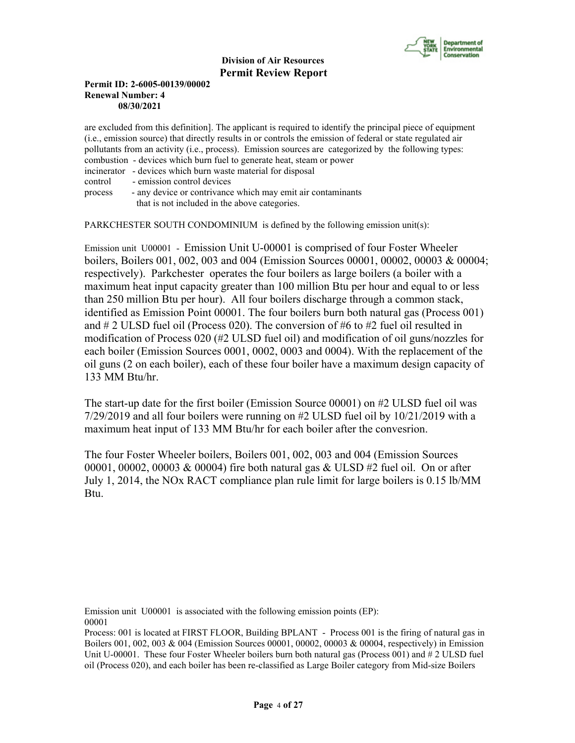

# **Permit ID: 2-6005-00139/00002 Renewal Number: 4 08/30/2021**

are excluded from this definition]. The applicant is required to identify the principal piece of equipment (i.e., emission source) that directly results in or controls the emission of federal or state regulated air pollutants from an activity (i.e., process). Emission sources are categorized by the following types: combustion - devices which burn fuel to generate heat, steam or power incinerator - devices which burn waste material for disposal control - emission control devices process - any device or contrivance which may emit air contaminants that is not included in the above categories.

PARKCHESTER SOUTH CONDOMINIUM is defined by the following emission unit(s):

Emission unit U00001 - Emission Unit U-00001 is comprised of four Foster Wheeler boilers, Boilers 001, 002, 003 and 004 (Emission Sources 00001, 00002, 00003 & 00004; respectively). Parkchester operates the four boilers as large boilers (a boiler with a maximum heat input capacity greater than 100 million Btu per hour and equal to or less than 250 million Btu per hour). All four boilers discharge through a common stack, identified as Emission Point 00001. The four boilers burn both natural gas (Process 001) and # 2 ULSD fuel oil (Process 020). The conversion of #6 to #2 fuel oil resulted in modification of Process 020 (#2 ULSD fuel oil) and modification of oil guns/nozzles for each boiler (Emission Sources 0001, 0002, 0003 and 0004). With the replacement of the oil guns (2 on each boiler), each of these four boiler have a maximum design capacity of 133 MM Btu/hr.

The start-up date for the first boiler (Emission Source 00001) on #2 ULSD fuel oil was 7/29/2019 and all four boilers were running on #2 ULSD fuel oil by 10/21/2019 with a maximum heat input of 133 MM Btu/hr for each boiler after the convesrion.

The four Foster Wheeler boilers, Boilers 001, 002, 003 and 004 (Emission Sources 00001, 00002, 00003 & 00004) fire both natural gas & ULSD #2 fuel oil. On or after July 1, 2014, the NOx RACT compliance plan rule limit for large boilers is 0.15 lb/MM Btu.

Emission unit U00001 is associated with the following emission points (EP): 00001

Process: 001 is located at FIRST FLOOR, Building BPLANT - Process 001 is the firing of natural gas in Boilers 001, 002, 003 & 004 (Emission Sources 00001, 00002, 00003 & 00004, respectively) in Emission Unit U-00001. These four Foster Wheeler boilers burn both natural gas (Process 001) and # 2 ULSD fuel oil (Process 020), and each boiler has been re-classified as Large Boiler category from Mid-size Boilers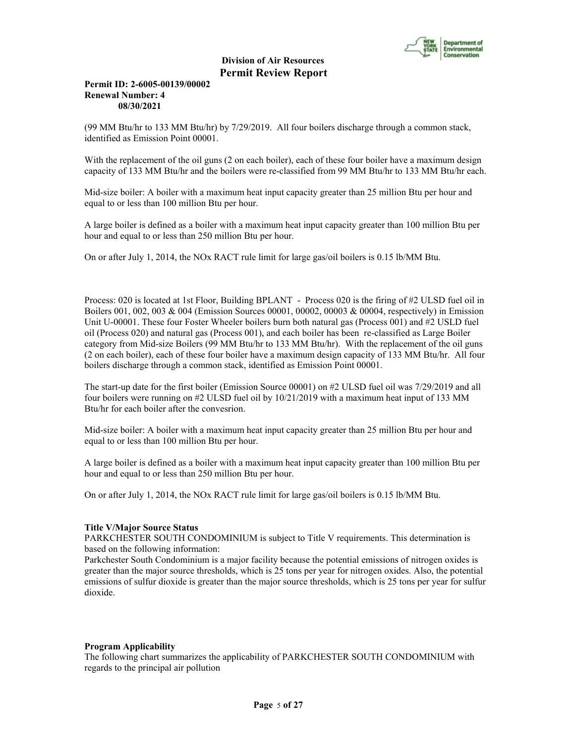

# **Permit ID: 2-6005-00139/00002 Renewal Number: 4 08/30/2021**

(99 MM Btu/hr to 133 MM Btu/hr) by 7/29/2019. All four boilers discharge through a common stack, identified as Emission Point 00001.

With the replacement of the oil guns (2 on each boiler), each of these four boiler have a maximum design capacity of 133 MM Btu/hr and the boilers were re-classified from 99 MM Btu/hr to 133 MM Btu/hr each.

Mid-size boiler: A boiler with a maximum heat input capacity greater than 25 million Btu per hour and equal to or less than 100 million Btu per hour.

A large boiler is defined as a boiler with a maximum heat input capacity greater than 100 million Btu per hour and equal to or less than 250 million Btu per hour.

On or after July 1, 2014, the NOx RACT rule limit for large gas/oil boilers is 0.15 lb/MM Btu.

Process: 020 is located at 1st Floor, Building BPLANT - Process 020 is the firing of #2 ULSD fuel oil in Boilers 001, 002, 003 & 004 (Emission Sources 00001, 00002, 00003 & 00004, respectively) in Emission Unit U-00001. These four Foster Wheeler boilers burn both natural gas (Process 001) and #2 USLD fuel oil (Process 020) and natural gas (Process 001), and each boiler has been re-classified as Large Boiler category from Mid-size Boilers (99 MM Btu/hr to 133 MM Btu/hr). With the replacement of the oil guns (2 on each boiler), each of these four boiler have a maximum design capacity of 133 MM Btu/hr. All four boilers discharge through a common stack, identified as Emission Point 00001.

The start-up date for the first boiler (Emission Source 00001) on #2 ULSD fuel oil was 7/29/2019 and all four boilers were running on #2 ULSD fuel oil by 10/21/2019 with a maximum heat input of 133 MM Btu/hr for each boiler after the convesrion.

Mid-size boiler: A boiler with a maximum heat input capacity greater than 25 million Btu per hour and equal to or less than 100 million Btu per hour.

A large boiler is defined as a boiler with a maximum heat input capacity greater than 100 million Btu per hour and equal to or less than 250 million Btu per hour.

On or after July 1, 2014, the NOx RACT rule limit for large gas/oil boilers is 0.15 lb/MM Btu.

#### **Title V/Major Source Status**

PARKCHESTER SOUTH CONDOMINIUM is subject to Title V requirements. This determination is based on the following information:

Parkchester South Condominium is a major facility because the potential emissions of nitrogen oxides is greater than the major source thresholds, which is 25 tons per year for nitrogen oxides. Also, the potential emissions of sulfur dioxide is greater than the major source thresholds, which is 25 tons per year for sulfur dioxide.

#### **Program Applicability**

The following chart summarizes the applicability of PARKCHESTER SOUTH CONDOMINIUM with regards to the principal air pollution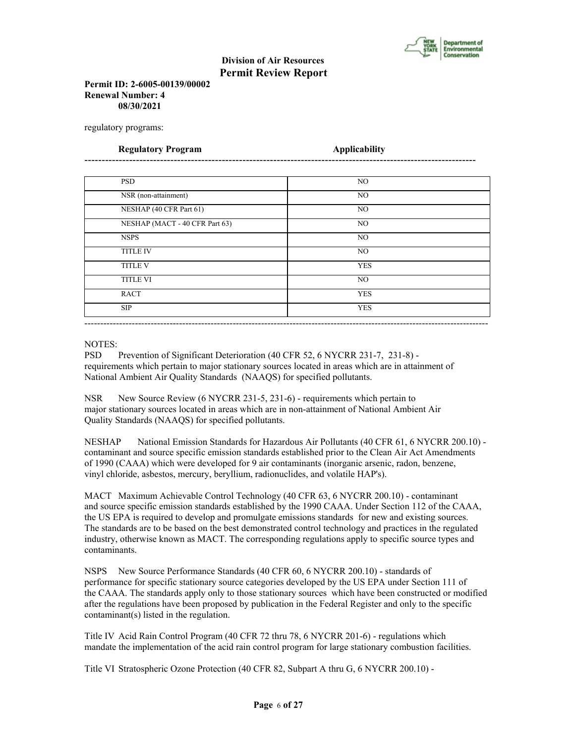

# **Permit ID: 2-6005-00139/00002 Renewal Number: 4 08/30/2021**

regulatory programs:

| <b>Regulatory Program</b>      | <b>Applicability</b> |  |
|--------------------------------|----------------------|--|
|                                |                      |  |
| <b>PSD</b>                     | NO.                  |  |
| NSR (non-attainment)           | N <sub>O</sub>       |  |
| NESHAP (40 CFR Part 61)        | N <sub>O</sub>       |  |
| NESHAP (MACT - 40 CFR Part 63) | NO.                  |  |
| <b>NSPS</b>                    | NO                   |  |
| <b>TITLE IV</b>                | N <sub>O</sub>       |  |
| <b>TITLE V</b>                 | <b>YES</b>           |  |
| <b>TITLE VI</b>                | NO                   |  |
| <b>RACT</b>                    | <b>YES</b>           |  |
| <b>SIP</b>                     | <b>YES</b>           |  |

#### NOTES:

PSD Prevention of Significant Deterioration (40 CFR 52, 6 NYCRR 231-7, 231-8) requirements which pertain to major stationary sources located in areas which are in attainment of National Ambient Air Quality Standards (NAAQS) for specified pollutants.

NSR New Source Review (6 NYCRR 231-5, 231-6) - requirements which pertain to major stationary sources located in areas which are in non-attainment of National Ambient Air Quality Standards (NAAQS) for specified pollutants.

NESHAP National Emission Standards for Hazardous Air Pollutants (40 CFR 61, 6 NYCRR 200.10) contaminant and source specific emission standards established prior to the Clean Air Act Amendments of 1990 (CAAA) which were developed for 9 air contaminants (inorganic arsenic, radon, benzene, vinyl chloride, asbestos, mercury, beryllium, radionuclides, and volatile HAP's).

MACT Maximum Achievable Control Technology (40 CFR 63, 6 NYCRR 200.10) - contaminant and source specific emission standards established by the 1990 CAAA. Under Section 112 of the CAAA, the US EPA is required to develop and promulgate emissions standards for new and existing sources. The standards are to be based on the best demonstrated control technology and practices in the regulated industry, otherwise known as MACT. The corresponding regulations apply to specific source types and contaminants.

NSPS New Source Performance Standards (40 CFR 60, 6 NYCRR 200.10) - standards of performance for specific stationary source categories developed by the US EPA under Section 111 of the CAAA. The standards apply only to those stationary sources which have been constructed or modified after the regulations have been proposed by publication in the Federal Register and only to the specific contaminant(s) listed in the regulation.

Title IV Acid Rain Control Program (40 CFR 72 thru 78, 6 NYCRR 201-6) - regulations which mandate the implementation of the acid rain control program for large stationary combustion facilities.

Title VI Stratospheric Ozone Protection (40 CFR 82, Subpart A thru G, 6 NYCRR 200.10) -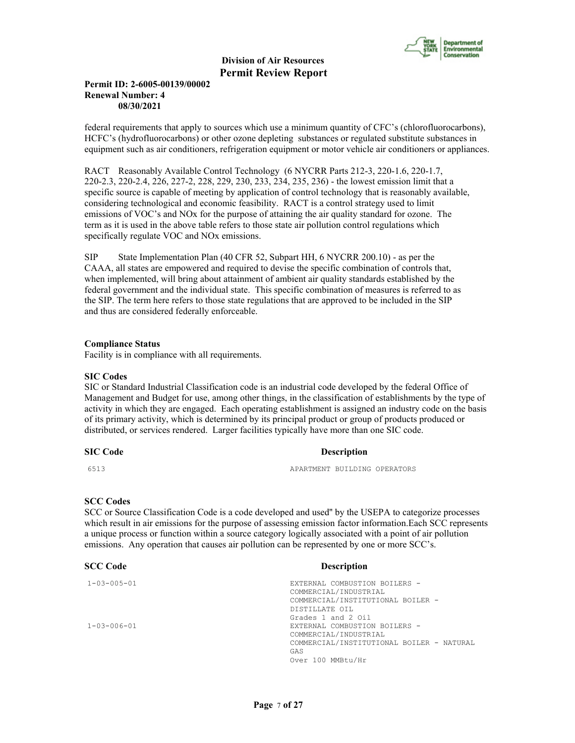

# **Permit ID: 2-6005-00139/00002 Renewal Number: 4 08/30/2021**

federal requirements that apply to sources which use a minimum quantity of CFC's (chlorofluorocarbons), HCFC's (hydrofluorocarbons) or other ozone depleting substances or regulated substitute substances in equipment such as air conditioners, refrigeration equipment or motor vehicle air conditioners or appliances.

RACT Reasonably Available Control Technology (6 NYCRR Parts 212-3, 220-1.6, 220-1.7, 220-2.3, 220-2.4, 226, 227-2, 228, 229, 230, 233, 234, 235, 236) - the lowest emission limit that a specific source is capable of meeting by application of control technology that is reasonably available, considering technological and economic feasibility. RACT is a control strategy used to limit emissions of VOC's and NOx for the purpose of attaining the air quality standard for ozone. The term as it is used in the above table refers to those state air pollution control regulations which specifically regulate VOC and NOx emissions.

SIP State Implementation Plan (40 CFR 52, Subpart HH, 6 NYCRR 200.10) - as per the CAAA, all states are empowered and required to devise the specific combination of controls that, when implemented, will bring about attainment of ambient air quality standards established by the federal government and the individual state. This specific combination of measures is referred to as the SIP. The term here refers to those state regulations that are approved to be included in the SIP and thus are considered federally enforceable.

#### **Compliance Status**

Facility is in compliance with all requirements.

#### **SIC Codes**

SIC or Standard Industrial Classification code is an industrial code developed by the federal Office of Management and Budget for use, among other things, in the classification of establishments by the type of activity in which they are engaged. Each operating establishment is assigned an industry code on the basis of its primary activity, which is determined by its principal product or group of products produced or distributed, or services rendered. Larger facilities typically have more than one SIC code.

#### **SIC Code** Description

6513 APARTMENT BUILDING OPERATORS

# **SCC Codes**

SCC or Source Classification Code is a code developed and used'' by the USEPA to categorize processes which result in air emissions for the purpose of assessing emission factor information.Each SCC represents a unique process or function within a source category logically associated with a point of air pollution emissions. Any operation that causes air pollution can be represented by one or more SCC's.

#### **SCC Code Description**

1-03-005-01 EXTERNAL COMBUSTION BOILERS - COMMERCIAL/INDUSTRIAL COMMERCIAL/INSTITUTIONAL BOILER - DISTILLATE OIL Grades 1 and 2 Oil 1-03-006-01 EXTERNAL COMBUSTION BOILERS - COMMERCIAL/INDUSTRIAL COMMERCIAL/INSTITUTIONAL BOILER - NATURAL GAS Over 100 MMBtu/Hr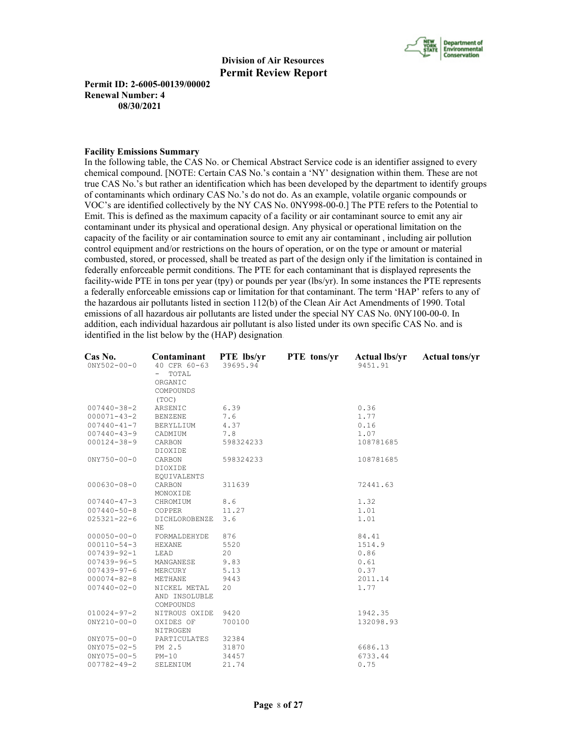

**Permit ID: 2-6005-00139/00002 Renewal Number: 4 08/30/2021**

#### **Facility Emissions Summary**

In the following table, the CAS No. or Chemical Abstract Service code is an identifier assigned to every chemical compound. [NOTE: Certain CAS No.'s contain a 'NY' designation within them. These are not true CAS No.'s but rather an identification which has been developed by the department to identify groups of contaminants which ordinary CAS No.'s do not do. As an example, volatile organic compounds or VOC's are identified collectively by the NY CAS No. 0NY998-00-0.] The PTE refers to the Potential to Emit. This is defined as the maximum capacity of a facility or air contaminant source to emit any air contaminant under its physical and operational design. Any physical or operational limitation on the capacity of the facility or air contamination source to emit any air contaminant , including air pollution control equipment and/or restrictions on the hours of operation, or on the type or amount or material combusted, stored, or processed, shall be treated as part of the design only if the limitation is contained in federally enforceable permit conditions. The PTE for each contaminant that is displayed represents the facility-wide PTE in tons per year (tpy) or pounds per year (lbs/yr). In some instances the PTE represents a federally enforceable emissions cap or limitation for that contaminant. The term 'HAP' refers to any of the hazardous air pollutants listed in section 112(b) of the Clean Air Act Amendments of 1990. Total emissions of all hazardous air pollutants are listed under the special NY CAS No. 0NY100-00-0. In addition, each individual hazardous air pollutant is also listed under its own specific CAS No. and is identified in the list below by the (HAP) designation.

| Cas No.<br>$0NY502 - 00 - 0$ | Contaminant<br>40 CFR 60-63 | PTE lbs/yr<br>39695.94 | PTE tons/yr | <b>Actual lbs/yr</b><br>9451.91 | <b>Actual tons/yr</b> |
|------------------------------|-----------------------------|------------------------|-------------|---------------------------------|-----------------------|
|                              | TOTAL                       |                        |             |                                 |                       |
|                              | ORGANIC<br>COMPOUNDS        |                        |             |                                 |                       |
|                              | (TOC)                       |                        |             |                                 |                       |
| $007440 - 38 - 2$            | ARSENIC                     | 6.39                   |             | 0.36                            |                       |
| $000071 - 43 - 2$            | <b>BENZENE</b>              | 7.6                    |             | 1.77                            |                       |
| $007440 - 41 - 7$            | BERYLLIUM                   | 4.37                   |             | 0.16                            |                       |
| $007440 - 43 - 9$            | CADMIUM                     | 7.8                    |             | 1.07                            |                       |
| $000124 - 38 - 9$            | CARBON                      | 598324233              |             | 108781685                       |                       |
|                              | DIOXIDE                     |                        |             |                                 |                       |
| $0NY750 - 00 - 0$            | CARBON                      | 598324233              |             | 108781685                       |                       |
|                              | DIOXIDE                     |                        |             |                                 |                       |
|                              | EQUIVALENTS                 |                        |             |                                 |                       |
| $000630 - 08 - 0$            | CARBON                      | 311639                 |             | 72441.63                        |                       |
|                              | MONOXIDE                    |                        |             |                                 |                       |
| $007440 - 47 - 3$            | CHROMIUM                    | 8.6                    |             | 1.32                            |                       |
| $007440 - 50 - 8$            | COPPER                      | 11.27                  |             | 1.01                            |                       |
| $025321 - 22 - 6$            | DICHLOROBENZE               | 3.6                    |             | 1.01                            |                       |
|                              | NE                          |                        |             |                                 |                       |
| $000050 - 00 - 0$            | FORMALDEHYDE                | 876                    |             | 84.41                           |                       |
| $000110 - 54 - 3$            | HEXANE                      | 5520                   |             | 1514.9                          |                       |
| $007439 - 92 - 1$            | LEAD                        | 20                     |             | 0.86                            |                       |
| $007439 - 96 - 5$            | MANGANESE                   | 9.83                   |             | 0.61                            |                       |
| $007439 - 97 - 6$            | MERCURY                     | 5.13                   |             | 0.37                            |                       |
| $000074 - 82 - 8$            | METHANE                     | 9443                   |             | 2011.14                         |                       |
| $007440 - 02 - 0$            | NICKEL METAL                | 20                     |             | 1.77                            |                       |
|                              | AND INSOLUBLE               |                        |             |                                 |                       |
|                              | COMPOUNDS                   |                        |             |                                 |                       |
| $010024 - 97 - 2$            | NITROUS OXIDE               | 9420                   |             | 1942.35                         |                       |
| $0NY210 - 00 - 0$            | OXIDES OF                   | 700100                 |             | 132098.93                       |                       |
|                              | NITROGEN                    |                        |             |                                 |                       |
| $0NY075 - 00 - 0$            | PARTICULATES                | 32384                  |             |                                 |                       |
| $0NY075 - 02 - 5$            | PM 2.5                      | 31870                  |             | 6686.13                         |                       |
| $0NY075 - 00 - 5$            | $PM-10$                     | 34457                  |             | 6733.44                         |                       |
| $007782 - 49 - 2$            | SELENIUM                    | 21.74                  |             | 0.75                            |                       |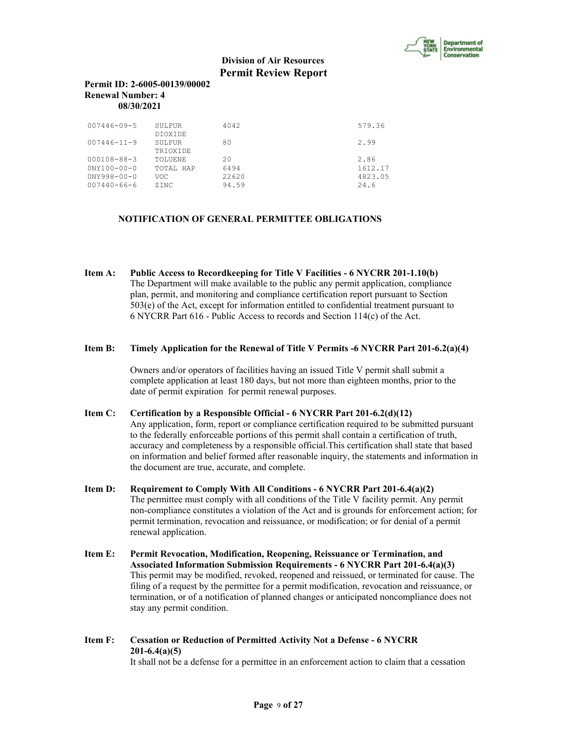

# **Permit ID: 2-6005-00139/00002 Renewal Number: 4 08/30/2021**

| $007446 - 09 - 5$                                                             | SULFUR<br><b>DTOXTDE</b>                    | 4042                                   | 579.36                             |
|-------------------------------------------------------------------------------|---------------------------------------------|----------------------------------------|------------------------------------|
| $007446 - 11 - 9$                                                             | SULFUR.<br><b>TRIOXIDE</b>                  | 80                                     | 2.99                               |
| $000108 - 88 - 3$<br>$0'NY100-00-0$<br>$0NY998 - 00 - 0$<br>$007440 - 66 - 6$ | <b>TOLUENE</b><br>TOTAL HAP<br>VOC<br>ZINC. | $20^{\circ}$<br>6494<br>22620<br>94.59 | 2.86<br>1612.17<br>4823.05<br>24.6 |

# **NOTIFICATION OF GENERAL PERMITTEE OBLIGATIONS**

**Item A: Public Access to Recordkeeping for Title V Facilities - 6 NYCRR 201-1.10(b)** The Department will make available to the public any permit application, compliance plan, permit, and monitoring and compliance certification report pursuant to Section 503(e) of the Act, except for information entitled to confidential treatment pursuant to 6 NYCRR Part 616 - Public Access to records and Section 114(c) of the Act.

#### **Item B: Timely Application for the Renewal of Title V Permits -6 NYCRR Part 201-6.2(a)(4)**

 Owners and/or operators of facilities having an issued Title V permit shall submit a complete application at least 180 days, but not more than eighteen months, prior to the date of permit expiration for permit renewal purposes.

#### **Item C: Certification by a Responsible Official - 6 NYCRR Part 201-6.2(d)(12)**

 Any application, form, report or compliance certification required to be submitted pursuant to the federally enforceable portions of this permit shall contain a certification of truth, accuracy and completeness by a responsible official.This certification shall state that based on information and belief formed after reasonable inquiry, the statements and information in the document are true, accurate, and complete.

- **Item D: Requirement to Comply With All Conditions 6 NYCRR Part 201-6.4(a)(2)** The permittee must comply with all conditions of the Title V facility permit. Any permit non-compliance constitutes a violation of the Act and is grounds for enforcement action; for permit termination, revocation and reissuance, or modification; or for denial of a permit renewal application.
- **Item E: Permit Revocation, Modification, Reopening, Reissuance or Termination, and Associated Information Submission Requirements - 6 NYCRR Part 201-6.4(a)(3)** This permit may be modified, revoked, reopened and reissued, or terminated for cause. The filing of a request by the permittee for a permit modification, revocation and reissuance, or termination, or of a notification of planned changes or anticipated noncompliance does not stay any permit condition.

# **Item F: Cessation or Reduction of Permitted Activity Not a Defense - 6 NYCRR 201-6.4(a)(5)**

It shall not be a defense for a permittee in an enforcement action to claim that a cessation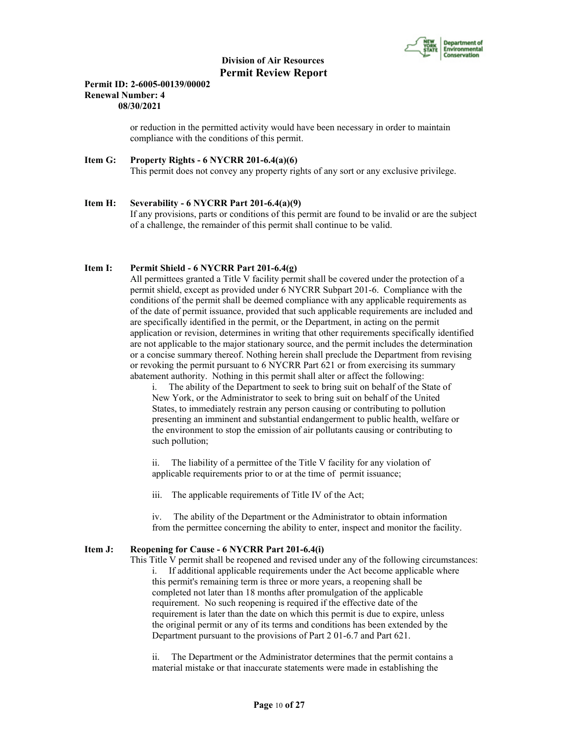

### **Permit ID: 2-6005-00139/00002 Renewal Number: 4 08/30/2021**

 or reduction in the permitted activity would have been necessary in order to maintain compliance with the conditions of this permit.

#### **Item G: Property Rights - 6 NYCRR 201-6.4(a)(6)** This permit does not convey any property rights of any sort or any exclusive privilege.

#### **Item H: Severability - 6 NYCRR Part 201-6.4(a)(9)**

 If any provisions, parts or conditions of this permit are found to be invalid or are the subject of a challenge, the remainder of this permit shall continue to be valid.

# **Item I: Permit Shield - 6 NYCRR Part 201-6.4(g)**

 All permittees granted a Title V facility permit shall be covered under the protection of a permit shield, except as provided under 6 NYCRR Subpart 201-6. Compliance with the conditions of the permit shall be deemed compliance with any applicable requirements as of the date of permit issuance, provided that such applicable requirements are included and are specifically identified in the permit, or the Department, in acting on the permit application or revision, determines in writing that other requirements specifically identified are not applicable to the major stationary source, and the permit includes the determination or a concise summary thereof. Nothing herein shall preclude the Department from revising or revoking the permit pursuant to 6 NYCRR Part 621 or from exercising its summary abatement authority. Nothing in this permit shall alter or affect the following:

i. The ability of the Department to seek to bring suit on behalf of the State of New York, or the Administrator to seek to bring suit on behalf of the United States, to immediately restrain any person causing or contributing to pollution presenting an imminent and substantial endangerment to public health, welfare or the environment to stop the emission of air pollutants causing or contributing to such pollution;

ii. The liability of a permittee of the Title V facility for any violation of applicable requirements prior to or at the time of permit issuance;

iii. The applicable requirements of Title IV of the Act;

iv. The ability of the Department or the Administrator to obtain information from the permittee concerning the ability to enter, inspect and monitor the facility.

# **Item J: Reopening for Cause - 6 NYCRR Part 201-6.4(i)**

 This Title V permit shall be reopened and revised under any of the following circumstances: i. If additional applicable requirements under the Act become applicable where this permit's remaining term is three or more years, a reopening shall be completed not later than 18 months after promulgation of the applicable requirement. No such reopening is required if the effective date of the requirement is later than the date on which this permit is due to expire, unless the original permit or any of its terms and conditions has been extended by the Department pursuant to the provisions of Part 2 01-6.7 and Part 621.

ii. The Department or the Administrator determines that the permit contains a material mistake or that inaccurate statements were made in establishing the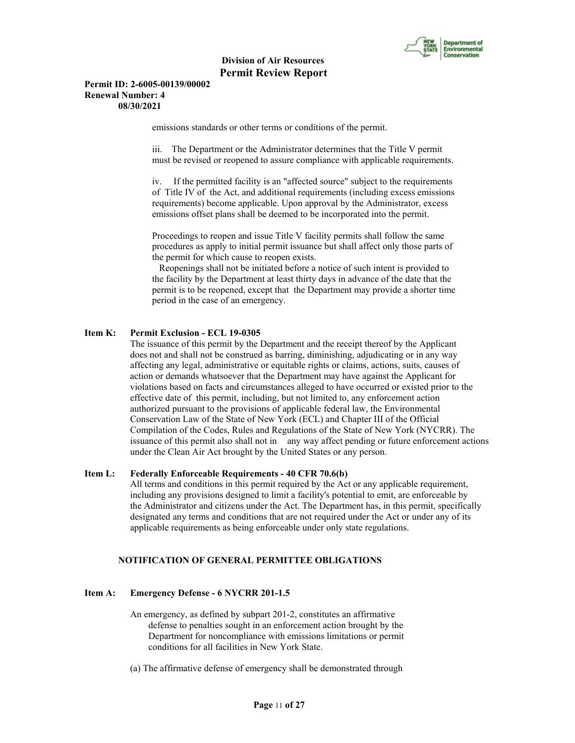

#### **Permit ID: 2-6005-00139/00002 Renewal Number: 4 08/30/2021**

emissions standards or other terms or conditions of the permit.

iii. The Department or the Administrator determines that the Title V permit must be revised or reopened to assure compliance with applicable requirements.

iv. If the permitted facility is an "affected source" subject to the requirements of Title IV of the Act, and additional requirements (including excess emissions requirements) become applicable. Upon approval by the Administrator, excess emissions offset plans shall be deemed to be incorporated into the permit.

Proceedings to reopen and issue Title V facility permits shall follow the same procedures as apply to initial permit issuance but shall affect only those parts of the permit for which cause to reopen exists.

 Reopenings shall not be initiated before a notice of such intent is provided to the facility by the Department at least thirty days in advance of the date that the permit is to be reopened, except that the Department may provide a shorter time period in the case of an emergency.

# **Item K: Permit Exclusion - ECL 19-0305**

 The issuance of this permit by the Department and the receipt thereof by the Applicant does not and shall not be construed as barring, diminishing, adjudicating or in any way affecting any legal, administrative or equitable rights or claims, actions, suits, causes of action or demands whatsoever that the Department may have against the Applicant for violations based on facts and circumstances alleged to have occurred or existed prior to the effective date of this permit, including, but not limited to, any enforcement action authorized pursuant to the provisions of applicable federal law, the Environmental Conservation Law of the State of New York (ECL) and Chapter III of the Official Compilation of the Codes, Rules and Regulations of the State of New York (NYCRR). The issuance of this permit also shall not in any way affect pending or future enforcement actions under the Clean Air Act brought by the United States or any person.

# **Item L: Federally Enforceable Requirements - 40 CFR 70.6(b)**

 All terms and conditions in this permit required by the Act or any applicable requirement, including any provisions designed to limit a facility's potential to emit, are enforceable by the Administrator and citizens under the Act. The Department has, in this permit, specifically designated any terms and conditions that are not required under the Act or under any of its applicable requirements as being enforceable under only state regulations.

#### **NOTIFICATION OF GENERAL PERMITTEE OBLIGATIONS**

### **Item A: Emergency Defense - 6 NYCRR 201-1.5**

- An emergency, as defined by subpart 201-2, constitutes an affirmative defense to penalties sought in an enforcement action brought by the Department for noncompliance with emissions limitations or permit conditions for all facilities in New York State.
- (a) The affirmative defense of emergency shall be demonstrated through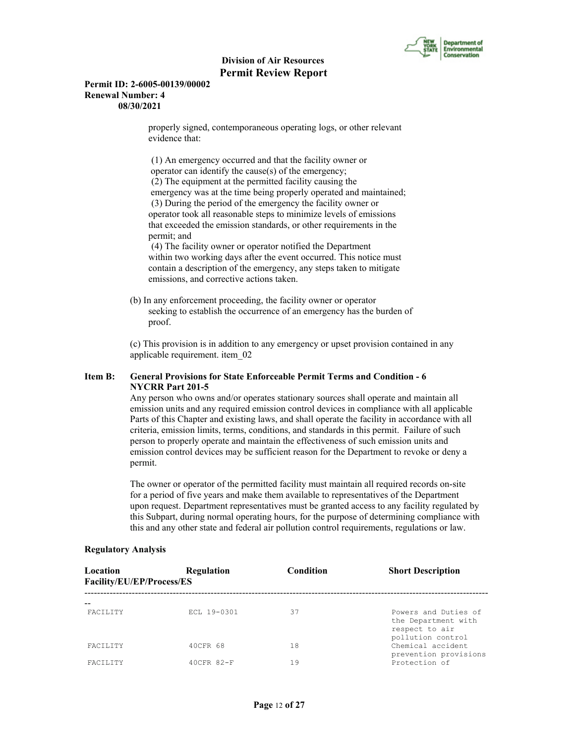

#### **Permit ID: 2-6005-00139/00002 Renewal Number: 4 08/30/2021**

 properly signed, contemporaneous operating logs, or other relevant evidence that:

 (1) An emergency occurred and that the facility owner or operator can identify the cause(s) of the emergency; (2) The equipment at the permitted facility causing the emergency was at the time being properly operated and maintained; (3) During the period of the emergency the facility owner or operator took all reasonable steps to minimize levels of emissions that exceeded the emission standards, or other requirements in the permit; and

 (4) The facility owner or operator notified the Department within two working days after the event occurred. This notice must contain a description of the emergency, any steps taken to mitigate emissions, and corrective actions taken.

 (b) In any enforcement proceeding, the facility owner or operator seeking to establish the occurrence of an emergency has the burden of proof.

 (c) This provision is in addition to any emergency or upset provision contained in any applicable requirement. item\_02

# **Item B: General Provisions for State Enforceable Permit Terms and Condition - 6 NYCRR Part 201-5**

 Any person who owns and/or operates stationary sources shall operate and maintain all emission units and any required emission control devices in compliance with all applicable Parts of this Chapter and existing laws, and shall operate the facility in accordance with all criteria, emission limits, terms, conditions, and standards in this permit. Failure of such person to properly operate and maintain the effectiveness of such emission units and emission control devices may be sufficient reason for the Department to revoke or deny a permit.

 The owner or operator of the permitted facility must maintain all required records on-site for a period of five years and make them available to representatives of the Department upon request. Department representatives must be granted access to any facility regulated by this Subpart, during normal operating hours, for the purpose of determining compliance with this and any other state and federal air pollution control requirements, regulations or law.

| Location<br>Facility/EU/EP/Process/ES | <b>Regulation</b> | Condition | <b>Short Description</b>                                                           |
|---------------------------------------|-------------------|-----------|------------------------------------------------------------------------------------|
| <b>FACTLITY</b>                       | ECL 19-0301       | 37        | Powers and Duties of<br>the Department with<br>respect to air<br>pollution control |
| <b>FACTLITY</b>                       | 40CFR 68          | 18        | Chemical accident<br>prevention provisions                                         |
| FACTIJTY                              | $40CFR$ $82-F$    | 19        | Protection of                                                                      |

#### **Regulatory Analysis**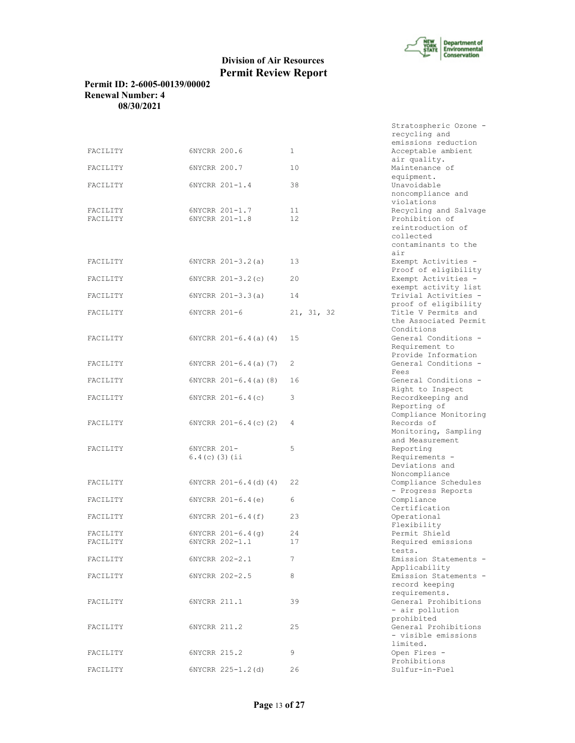

# **Permit ID: 2-6005-00139/00002 Renewal Number: 4 08/30/2021**

|          |                                 |              | recycling and<br>emissions reduction         |
|----------|---------------------------------|--------------|----------------------------------------------|
| FACILITY | 6NYCRR 200.6                    | $\mathbf{1}$ | Acceptable ambient                           |
|          |                                 |              | air quality.                                 |
| FACILITY | 6NYCRR 200.7                    | 10           | Maintenance of                               |
| FACILITY | 6NYCRR 201-1.4                  | 38           | equipment.<br>Unavoidable                    |
|          |                                 |              | noncompliance and                            |
|          |                                 |              | violations                                   |
| FACILITY | 6NYCRR 201-1.7                  | 11           | Recycling and Salvage                        |
| FACILITY | 6NYCRR 201-1.8                  | 12           | Prohibition of                               |
|          |                                 |              | reintroduction of<br>collected               |
|          |                                 |              | contaminants to the                          |
|          |                                 |              | air                                          |
| FACILITY | $6NYCRR 201-3.2(a)$             | 13           | Exempt Activities -                          |
|          |                                 |              | Proof of eligibility                         |
| FACILITY | $6NYCRR 201-3.2(c)$             | 20           | Exempt Activities -                          |
| FACILITY | $6NYCRR 201-3.3(a)$             | 14           | exempt activity list<br>Trivial Activities - |
|          |                                 |              | proof of eligibility                         |
| FACILITY | 6NYCRR 201-6                    | 21, 31, 32   | Title V Permits and                          |
|          |                                 |              | the Associated Permit                        |
| FACILITY |                                 |              | Conditions<br>General Conditions -           |
|          | $6NYCRR$ $201-6.4$ (a) (4)      | 15           | Requirement to                               |
|          |                                 |              | Provide Information                          |
| FACILITY | $6NYCRR 201-6.4(a) (7)$         | 2            | General Conditions -                         |
|          |                                 |              | Fees                                         |
| FACILITY | $6NYCRR 201-6.4(a)$ (8)         | 16           | General Conditions -                         |
| FACILITY | $6NYCRR 201-6.4(c)$             | 3            | Right to Inspect<br>Recordkeeping and        |
|          |                                 |              | Reporting of                                 |
|          |                                 |              | Compliance Monitoring                        |
| FACILITY | $6NYCRR$ $201-6.4(c)$ (2)       | 4            | Records of                                   |
|          |                                 |              | Monitoring, Sampling                         |
|          |                                 |              | and Measurement                              |
| FACILITY | 6NYCRR 201-<br>$6.4(c)$ (3) (ii | 5            | Reporting<br>Requirements -                  |
|          |                                 |              | Deviations and                               |
|          |                                 |              | Noncompliance                                |
| FACILITY | $6NYCRR 201-6.4(d) (4)$         | 22           | Compliance Schedules                         |
|          |                                 |              | - Progress Reports                           |
| FACILITY | $6NYCRR 201-6.4(e)$             | 6            | Compliance                                   |
| FACILITY | $6NYCRR 201-6.4(f)$             | 23           | Certification<br>Operational                 |
|          |                                 |              | Flexibility                                  |
| FACILITY | $6NYCRR 201-6.4(q)$             | 24           | Permit Shield                                |
| FACILITY | 6NYCRR 202-1.1                  | 17           | Required emissions                           |
|          | 6NYCRR 202-2.1                  | 7            | tests.<br>Emission Statements -              |
| FACILITY |                                 |              | Applicability                                |
| FACILITY | 6NYCRR 202-2.5                  | 8            | Emission Statements -                        |
|          |                                 |              | record keeping                               |
|          |                                 |              | requirements.                                |
| FACILITY | 6NYCRR 211.1                    | 39           | General Prohibitions<br>- air pollution      |
|          |                                 |              | prohibited                                   |
| FACILITY | 6NYCRR 211.2                    | 25           | General Prohibitions                         |
|          |                                 |              | - visible emissions                          |
|          |                                 |              | limited.                                     |
| FACILITY | 6NYCRR 215.2                    | 9            | Open Fires -                                 |
| FACILITY | 6NYCRR 225-1.2(d)               | 26           | Prohibitions<br>Sulfur-in-Fuel               |
|          |                                 |              |                                              |

| Stratospheric Ozone -                     |
|-------------------------------------------|
| recycling and                             |
| emissions reduction                       |
|                                           |
| Acceptable ambient                        |
| air quality.                              |
| Maintenance of                            |
| equipment.                                |
|                                           |
| Unavoidable                               |
| noncompliance and                         |
| violations                                |
|                                           |
| Recycling and Salvage                     |
| Prohibition of                            |
| reintroduction of                         |
|                                           |
| collected                                 |
| contaminants to the                       |
| air                                       |
| Exempt Activities -                       |
|                                           |
| Proof of eligibility                      |
| Exempt Activities -                       |
| exempt activity list                      |
|                                           |
| Trivial Activities -                      |
| proof of eligibility                      |
| Title V Permits and                       |
|                                           |
| the Associated Permit                     |
| Conditions                                |
| General Conditions                        |
| Requirement to                            |
|                                           |
| Provide Information<br>General Conditions |
|                                           |
| Fees                                      |
|                                           |
| General Conditions                        |
| Right to Inspect                          |
| Recordkeeping and                         |
|                                           |
| Reporting of                              |
| Compliance Monitoring                     |
| Records of                                |
| Monitoring, Sampling                      |
|                                           |
| and Measurement                           |
| Reporting                                 |
| Requirements -                            |
|                                           |
| Deviations and                            |
| Noncompliance                             |
| Compliance Schedules                      |
| - Progress Reports                        |
|                                           |
| Compliance                                |
| Certification                             |
| Operational                               |
|                                           |
| Flexibility                               |
| Permit Shield                             |
| Required emissions                        |
|                                           |
| tests.                                    |
| Emission Statements                       |
| Applicability                             |
| Emission Statements                       |
|                                           |
| record keeping                            |
| requirements.                             |
| General Prohibitions                      |
|                                           |
| - air pollution                           |
| prohibited                                |
| General Prohibitions                      |
| - visible emissions                       |
|                                           |
| limited.                                  |
| Open Fires                                |
| Prohibitions                              |
| $Sulfinr-in-Fuel$                         |
|                                           |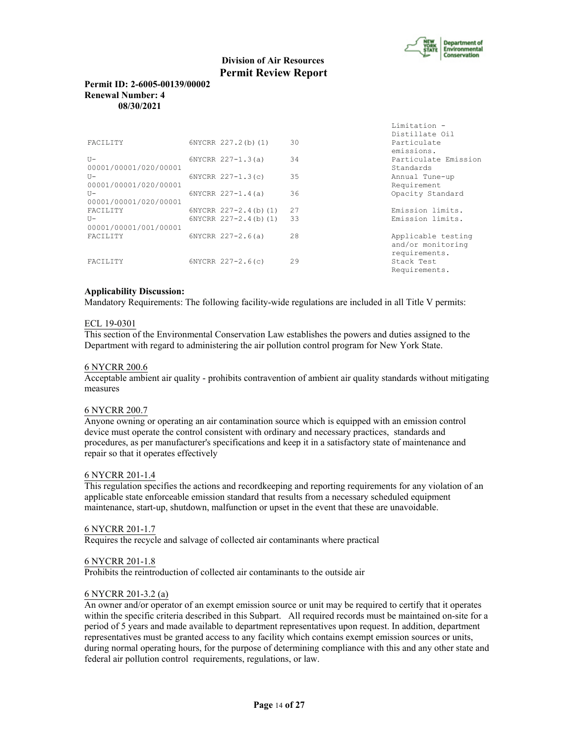

Limitation -

# **Division of Air Resources Permit Review Report**

### **Permit ID: 2-6005-00139/00002 Renewal Number: 4 08/30/2021**

|                       |                              |     | Distillate Oil       |
|-----------------------|------------------------------|-----|----------------------|
| FACILITY              | 6NYCRR 227.2(b)(1)           | 30  | Particulate          |
|                       |                              |     | emissions.           |
| $U -$                 | $6NYCRR 227 - 1.3(a)$        | 34  | Particulate Emission |
| 00001/00001/020/00001 |                              |     | Standards            |
| $U -$                 | $6NYCRR$ $227-1.3(c)$        | 35  | Annual Tune-up       |
| 00001/00001/020/00001 |                              |     | Requirement          |
| $U -$                 | $6NYCRR 227 - 1.4(a)$        | 36  | Opacity Standard     |
| 00001/00001/020/00001 |                              |     |                      |
| FACILITY              | $6NYCRR$ $227-2.4$ (b) $(1)$ | 27  | Emission limits.     |
| $U -$                 | $6NYCRR$ $227-2.4(b) (1)$    | 33  | Emission limits.     |
| 00001/00001/001/00001 |                              |     |                      |
| <b>FACTLITY</b>       | $6NYCRR$ $227-2.6(a)$        | 2.8 | Applicable testing   |
|                       |                              |     | and/or monitoring    |
|                       |                              |     | requirements.        |
| <b>FACTLITY</b>       | $6NYCRR$ 227-2.6(c)          | 29  | Stack Test           |
|                       |                              |     | Requirements.        |

# **Applicability Discussion:**

Mandatory Requirements: The following facility-wide regulations are included in all Title V permits:

# ECL 19-0301

This section of the Environmental Conservation Law establishes the powers and duties assigned to the Department with regard to administering the air pollution control program for New York State.

### 6 NYCRR 200.6

Acceptable ambient air quality - prohibits contravention of ambient air quality standards without mitigating measures

#### 6 NYCRR 200.7

Anyone owning or operating an air contamination source which is equipped with an emission control device must operate the control consistent with ordinary and necessary practices, standards and procedures, as per manufacturer's specifications and keep it in a satisfactory state of maintenance and repair so that it operates effectively

#### 6 NYCRR 201-1.4

This regulation specifies the actions and recordkeeping and reporting requirements for any violation of an applicable state enforceable emission standard that results from a necessary scheduled equipment maintenance, start-up, shutdown, malfunction or upset in the event that these are unavoidable.

#### 6 NYCRR 201-1.7

Requires the recycle and salvage of collected air contaminants where practical

#### 6 NYCRR 201-1.8

Prohibits the reintroduction of collected air contaminants to the outside air

#### 6 NYCRR 201-3.2 (a)

An owner and/or operator of an exempt emission source or unit may be required to certify that it operates within the specific criteria described in this Subpart. All required records must be maintained on-site for a period of 5 years and made available to department representatives upon request. In addition, department representatives must be granted access to any facility which contains exempt emission sources or units, during normal operating hours, for the purpose of determining compliance with this and any other state and federal air pollution control requirements, regulations, or law.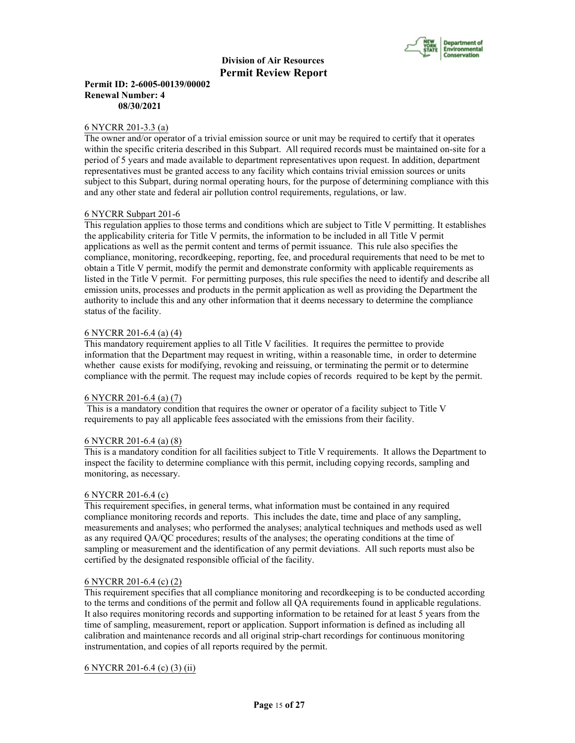

# **Permit ID: 2-6005-00139/00002 Renewal Number: 4 08/30/2021**

#### 6 NYCRR 201-3.3 (a)

The owner and/or operator of a trivial emission source or unit may be required to certify that it operates within the specific criteria described in this Subpart. All required records must be maintained on-site for a period of 5 years and made available to department representatives upon request. In addition, department representatives must be granted access to any facility which contains trivial emission sources or units subject to this Subpart, during normal operating hours, for the purpose of determining compliance with this and any other state and federal air pollution control requirements, regulations, or law.

#### 6 NYCRR Subpart 201-6

This regulation applies to those terms and conditions which are subject to Title V permitting. It establishes the applicability criteria for Title V permits, the information to be included in all Title V permit applications as well as the permit content and terms of permit issuance. This rule also specifies the compliance, monitoring, recordkeeping, reporting, fee, and procedural requirements that need to be met to obtain a Title V permit, modify the permit and demonstrate conformity with applicable requirements as listed in the Title V permit. For permitting purposes, this rule specifies the need to identify and describe all emission units, processes and products in the permit application as well as providing the Department the authority to include this and any other information that it deems necessary to determine the compliance status of the facility.

#### 6 NYCRR 201-6.4 (a) (4)

This mandatory requirement applies to all Title V facilities. It requires the permittee to provide information that the Department may request in writing, within a reasonable time, in order to determine whether cause exists for modifying, revoking and reissuing, or terminating the permit or to determine compliance with the permit. The request may include copies of records required to be kept by the permit.

#### 6 NYCRR 201-6.4 (a) (7)

 This is a mandatory condition that requires the owner or operator of a facility subject to Title V requirements to pay all applicable fees associated with the emissions from their facility.

#### 6 NYCRR 201-6.4 (a) (8)

This is a mandatory condition for all facilities subject to Title V requirements. It allows the Department to inspect the facility to determine compliance with this permit, including copying records, sampling and monitoring, as necessary.

#### 6 NYCRR 201-6.4 (c)

This requirement specifies, in general terms, what information must be contained in any required compliance monitoring records and reports. This includes the date, time and place of any sampling, measurements and analyses; who performed the analyses; analytical techniques and methods used as well as any required QA/QC procedures; results of the analyses; the operating conditions at the time of sampling or measurement and the identification of any permit deviations. All such reports must also be certified by the designated responsible official of the facility.

#### 6 NYCRR 201-6.4 (c) (2)

This requirement specifies that all compliance monitoring and recordkeeping is to be conducted according to the terms and conditions of the permit and follow all QA requirements found in applicable regulations. It also requires monitoring records and supporting information to be retained for at least 5 years from the time of sampling, measurement, report or application. Support information is defined as including all calibration and maintenance records and all original strip-chart recordings for continuous monitoring instrumentation, and copies of all reports required by the permit.

# 6 NYCRR 201-6.4 (c) (3) (ii)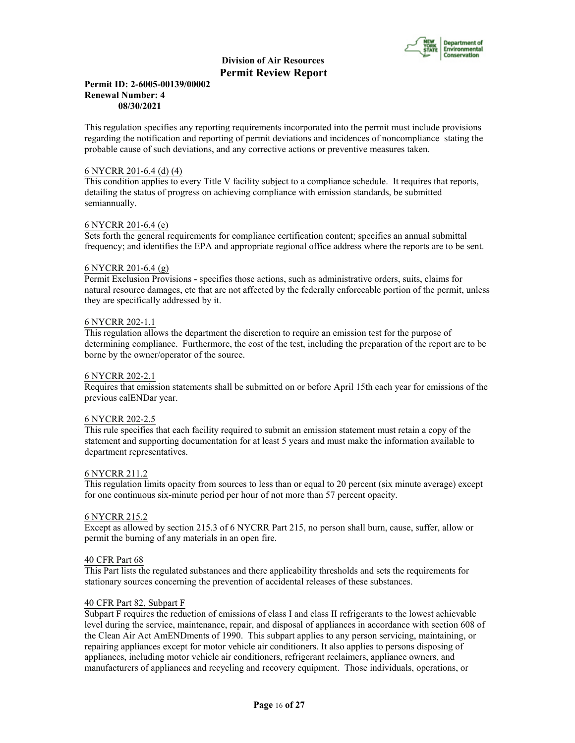

#### **Permit ID: 2-6005-00139/00002 Renewal Number: 4 08/30/2021**

This regulation specifies any reporting requirements incorporated into the permit must include provisions regarding the notification and reporting of permit deviations and incidences of noncompliance stating the probable cause of such deviations, and any corrective actions or preventive measures taken.

### 6 NYCRR 201-6.4 (d) (4)

This condition applies to every Title V facility subject to a compliance schedule. It requires that reports, detailing the status of progress on achieving compliance with emission standards, be submitted semiannually.

# 6 NYCRR 201-6.4 (e)

Sets forth the general requirements for compliance certification content; specifies an annual submittal frequency; and identifies the EPA and appropriate regional office address where the reports are to be sent.

# 6 NYCRR 201-6.4 (g)

Permit Exclusion Provisions - specifies those actions, such as administrative orders, suits, claims for natural resource damages, etc that are not affected by the federally enforceable portion of the permit, unless they are specifically addressed by it.

# 6 NYCRR 202-1.1

This regulation allows the department the discretion to require an emission test for the purpose of determining compliance. Furthermore, the cost of the test, including the preparation of the report are to be borne by the owner/operator of the source.

#### 6 NYCRR 202-2.1

Requires that emission statements shall be submitted on or before April 15th each year for emissions of the previous calENDar year.

#### 6 NYCRR 202-2.5

This rule specifies that each facility required to submit an emission statement must retain a copy of the statement and supporting documentation for at least 5 years and must make the information available to department representatives.

#### 6 NYCRR 211.2

This regulation limits opacity from sources to less than or equal to 20 percent (six minute average) except for one continuous six-minute period per hour of not more than 57 percent opacity.

#### 6 NYCRR 215.2

Except as allowed by section 215.3 of 6 NYCRR Part 215, no person shall burn, cause, suffer, allow or permit the burning of any materials in an open fire.

#### 40 CFR Part 68

This Part lists the regulated substances and there applicability thresholds and sets the requirements for stationary sources concerning the prevention of accidental releases of these substances.

### 40 CFR Part 82, Subpart F

Subpart F requires the reduction of emissions of class I and class II refrigerants to the lowest achievable level during the service, maintenance, repair, and disposal of appliances in accordance with section 608 of the Clean Air Act AmENDments of 1990. This subpart applies to any person servicing, maintaining, or repairing appliances except for motor vehicle air conditioners. It also applies to persons disposing of appliances, including motor vehicle air conditioners, refrigerant reclaimers, appliance owners, and manufacturers of appliances and recycling and recovery equipment. Those individuals, operations, or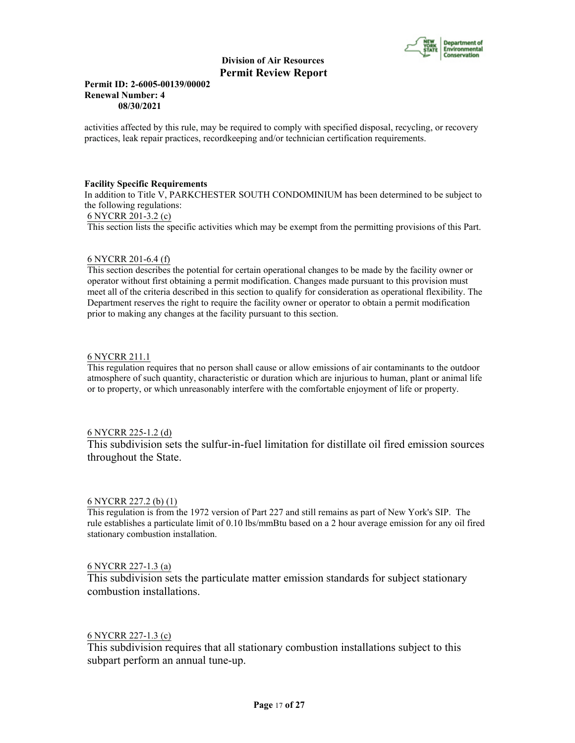

# **Permit ID: 2-6005-00139/00002 Renewal Number: 4 08/30/2021**

activities affected by this rule, may be required to comply with specified disposal, recycling, or recovery practices, leak repair practices, recordkeeping and/or technician certification requirements.

#### **Facility Specific Requirements**

In addition to Title V, PARKCHESTER SOUTH CONDOMINIUM has been determined to be subject to the following regulations:

### 6 NYCRR 201-3.2 (c)

This section lists the specific activities which may be exempt from the permitting provisions of this Part.

# 6 NYCRR 201-6.4 (f)

This section describes the potential for certain operational changes to be made by the facility owner or operator without first obtaining a permit modification. Changes made pursuant to this provision must meet all of the criteria described in this section to qualify for consideration as operational flexibility. The Department reserves the right to require the facility owner or operator to obtain a permit modification prior to making any changes at the facility pursuant to this section.

# 6 NYCRR 211.1

This regulation requires that no person shall cause or allow emissions of air contaminants to the outdoor atmosphere of such quantity, characteristic or duration which are injurious to human, plant or animal life or to property, or which unreasonably interfere with the comfortable enjoyment of life or property.

# 6 NYCRR 225-1.2 (d)

This subdivision sets the sulfur-in-fuel limitation for distillate oil fired emission sources throughout the State.

#### 6 NYCRR 227.2 (b) (1)

This regulation is from the 1972 version of Part 227 and still remains as part of New York's SIP. The rule establishes a particulate limit of 0.10 lbs/mmBtu based on a 2 hour average emission for any oil fired stationary combustion installation.

# 6 NYCRR 227-1.3 (a)

This subdivision sets the particulate matter emission standards for subject stationary combustion installations.

# 6 NYCRR 227-1.3 (c)

This subdivision requires that all stationary combustion installations subject to this subpart perform an annual tune-up.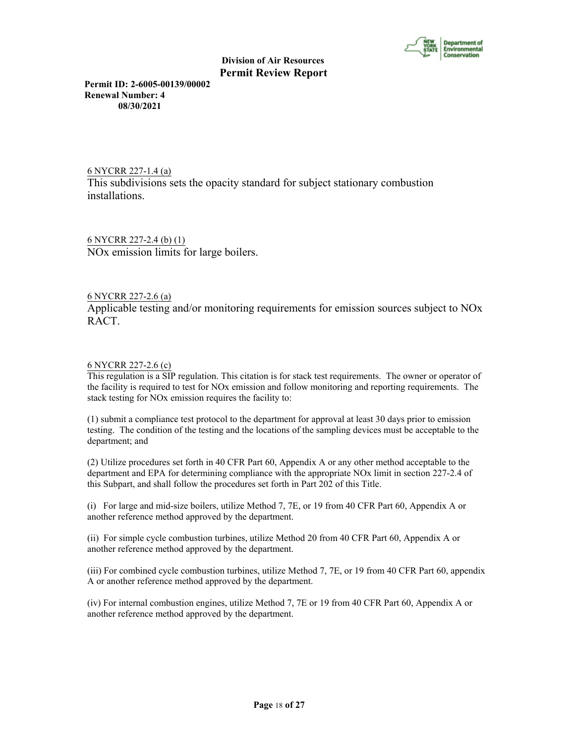

**Permit ID: 2-6005-00139/00002 Renewal Number: 4 08/30/2021**

6 NYCRR 227-1.4 (a) This subdivisions sets the opacity standard for subject stationary combustion installations.

6 NYCRR 227-2.4 (b) (1) NOx emission limits for large boilers.

# 6 NYCRR 227-2.6 (a)

Applicable testing and/or monitoring requirements for emission sources subject to NOx RACT.

# 6 NYCRR 227-2.6 (c)

This regulation is a SIP regulation. This citation is for stack test requirements. The owner or operator of the facility is required to test for NOx emission and follow monitoring and reporting requirements. The stack testing for NOx emission requires the facility to:

(1) submit a compliance test protocol to the department for approval at least 30 days prior to emission testing. The condition of the testing and the locations of the sampling devices must be acceptable to the department; and

(2) Utilize procedures set forth in 40 CFR Part 60, Appendix A or any other method acceptable to the department and EPA for determining compliance with the appropriate NOx limit in section 227-2.4 of this Subpart, and shall follow the procedures set forth in Part 202 of this Title.

(i) For large and mid-size boilers, utilize Method 7, 7E, or 19 from 40 CFR Part 60, Appendix A or another reference method approved by the department.

(ii) For simple cycle combustion turbines, utilize Method 20 from 40 CFR Part 60, Appendix A or another reference method approved by the department.

(iii) For combined cycle combustion turbines, utilize Method 7, 7E, or 19 from 40 CFR Part 60, appendix A or another reference method approved by the department.

(iv) For internal combustion engines, utilize Method 7, 7E or 19 from 40 CFR Part 60, Appendix A or another reference method approved by the department.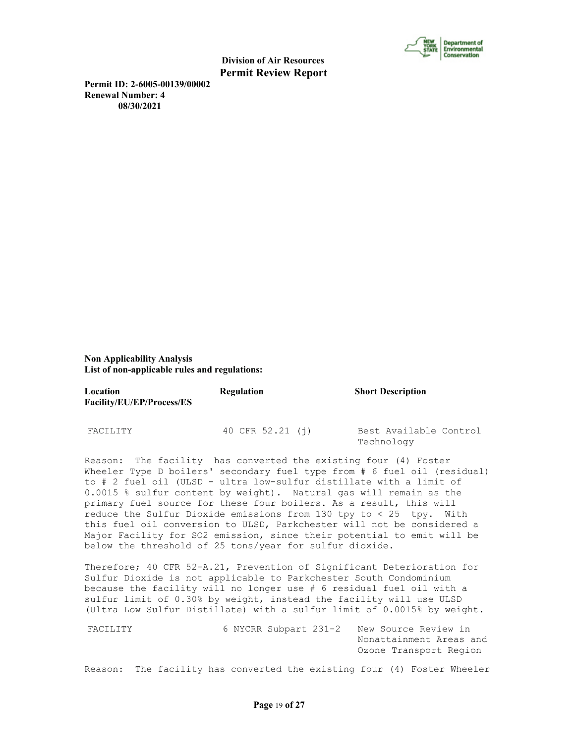

**Permit ID: 2-6005-00139/00002 Renewal Number: 4 08/30/2021**

**Non Applicability Analysis List of non-applicable rules and regulations:**

| Location<br>Facility/EU/EP/Process/ES | Regulation       | <b>Short Description</b>             |  |
|---------------------------------------|------------------|--------------------------------------|--|
| FACILITY                              | 40 CFR 52.21 (i) | Best Available Control<br>Technology |  |

Reason: The facility has converted the existing four (4) Foster Wheeler Type D boilers' secondary fuel type from # 6 fuel oil (residual) to # 2 fuel oil (ULSD - ultra low-sulfur distillate with a limit of 0.0015 % sulfur content by weight). Natural gas will remain as the primary fuel source for these four boilers. As a result, this will reduce the Sulfur Dioxide emissions from 130 tpy to  $< 25$  tpy. With this fuel oil conversion to ULSD, Parkchester will not be considered a Major Facility for SO2 emission, since their potential to emit will be below the threshold of 25 tons/year for sulfur dioxide.

Therefore; 40 CFR 52-A.21, Prevention of Significant Deterioration for Sulfur Dioxide is not applicable to Parkchester South Condominium because the facility will no longer use # 6 residual fuel oil with a sulfur limit of 0.30% by weight, instead the facility will use ULSD (Ultra Low Sulfur Distillate) with a sulfur limit of 0.0015% by weight.

FACILITY 6 NYCRR Subpart 231-2 New Source Review in Nonattainment Areas and Ozone Transport Region

Reason: The facility has converted the existing four (4) Foster Wheeler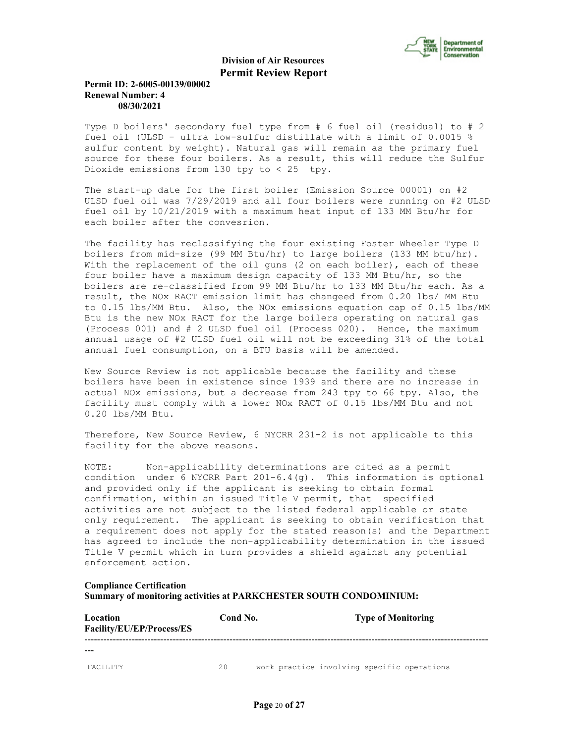

# **Permit ID: 2-6005-00139/00002 Renewal Number: 4 08/30/2021**

Type D boilers' secondary fuel type from # 6 fuel oil (residual) to # 2 fuel oil (ULSD - ultra low-sulfur distillate with a limit of 0.0015 % sulfur content by weight). Natural gas will remain as the primary fuel source for these four boilers. As a result, this will reduce the Sulfur Dioxide emissions from 130 tpy to  $< 25$  tpy.

The start-up date for the first boiler (Emission Source 00001) on #2 ULSD fuel oil was 7/29/2019 and all four boilers were running on #2 ULSD fuel oil by 10/21/2019 with a maximum heat input of 133 MM Btu/hr for each boiler after the convesrion.

The facility has reclassifying the four existing Foster Wheeler Type D boilers from mid-size (99 MM Btu/hr) to large boilers (133 MM btu/hr). With the replacement of the oil guns (2 on each boiler), each of these four boiler have a maximum design capacity of 133 MM Btu/hr, so the boilers are re-classified from 99 MM Btu/hr to 133 MM Btu/hr each. As a result, the NOx RACT emission limit has changeed from 0.20 lbs/ MM Btu to 0.15 lbs/MM Btu. Also, the NOx emissions equation cap of 0.15 lbs/MM Btu is the new NOx RACT for the large boilers operating on natural gas (Process 001) and # 2 ULSD fuel oil (Process 020). Hence, the maximum annual usage of #2 ULSD fuel oil will not be exceeding 31% of the total annual fuel consumption, on a BTU basis will be amended.

New Source Review is not applicable because the facility and these boilers have been in existence since 1939 and there are no increase in actual NOx emissions, but a decrease from 243 tpy to 66 tpy. Also, the facility must comply with a lower NOx RACT of 0.15 lbs/MM Btu and not 0.20 lbs/MM Btu.

Therefore, New Source Review, 6 NYCRR 231-2 is not applicable to this facility for the above reasons.

NOTE: Non-applicability determinations are cited as a permit condition under 6 NYCRR Part  $201-6.4$  (q). This information is optional and provided only if the applicant is seeking to obtain formal confirmation, within an issued Title V permit, that specified activities are not subject to the listed federal applicable or state only requirement. The applicant is seeking to obtain verification that a requirement does not apply for the stated reason(s) and the Department has agreed to include the non-applicability determination in the issued Title V permit which in turn provides a shield against any potential enforcement action.

#### **Compliance Certification**

**Summary of monitoring activities at PARKCHESTER SOUTH CONDOMINIUM:**

| Location<br>Facility/EU/EP/Process/ES | Cond No. |                                             | <b>Type of Monitoring</b> |  |
|---------------------------------------|----------|---------------------------------------------|---------------------------|--|
|                                       |          |                                             |                           |  |
| <b>FACTLITY</b>                       | 2.0      | work practice involving specific operations |                           |  |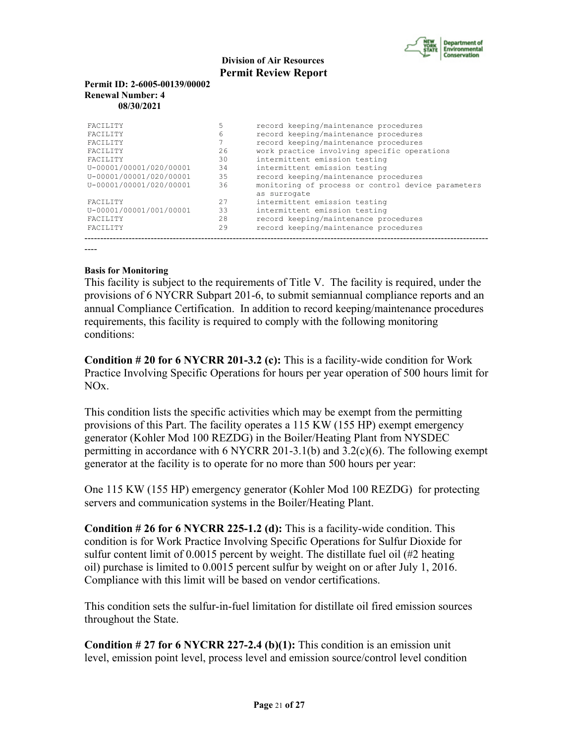

### **Permit ID: 2-6005-00139/00002 Renewal Number: 4 08/30/2021**

| <b>FACTLITY</b>         | 5   | record keeping/maintenance procedures              |
|-------------------------|-----|----------------------------------------------------|
| <b>FACTLITY</b>         | 6   | record keeping/maintenance procedures              |
| <b>FACTLITY</b>         |     | record keeping/maintenance procedures              |
| <b>FACTLITY</b>         | 2.6 | work practice involving specific operations        |
| <b>FACTLITY</b>         | 30  | intermittent emission testing                      |
| U-00001/00001/020/00001 | 34  | intermittent emission testing                      |
| U-00001/00001/020/00001 | 35  | record keeping/maintenance procedures              |
| U-00001/00001/020/00001 | 36  | monitoring of process or control device parameters |
|                         |     | as surrogate                                       |
| <b>FACTLITY</b>         | 27  | intermittent emission testing                      |
| U-00001/00001/001/00001 | 33  | intermittent emission testing                      |
| <b>FACTLITY</b>         | 2.8 | record keeping/maintenance procedures              |
| <b>FACTLITY</b>         | 29  | record keeping/maintenance procedures              |
|                         |     |                                                    |

----

# **Basis for Monitoring**

This facility is subject to the requirements of Title V. The facility is required, under the provisions of 6 NYCRR Subpart 201-6, to submit semiannual compliance reports and an annual Compliance Certification. In addition to record keeping/maintenance procedures requirements, this facility is required to comply with the following monitoring conditions:

**Condition # 20 for 6 NYCRR 201-3.2 (c):** This is a facility-wide condition for Work Practice Involving Specific Operations for hours per year operation of 500 hours limit for NOx.

This condition lists the specific activities which may be exempt from the permitting provisions of this Part. The facility operates a 115 KW (155 HP) exempt emergency generator (Kohler Mod 100 REZDG) in the Boiler/Heating Plant from NYSDEC permitting in accordance with 6 NYCRR 201-3.1(b) and  $3.2(c)(6)$ . The following exempt generator at the facility is to operate for no more than 500 hours per year:

One 115 KW (155 HP) emergency generator (Kohler Mod 100 REZDG) for protecting servers and communication systems in the Boiler/Heating Plant.

**Condition # 26 for 6 NYCRR 225-1.2 (d):** This is a facility-wide condition. This condition is for Work Practice Involving Specific Operations for Sulfur Dioxide for sulfur content limit of 0.0015 percent by weight. The distillate fuel oil (#2 heating oil) purchase is limited to 0.0015 percent sulfur by weight on or after July 1, 2016. Compliance with this limit will be based on vendor certifications.

This condition sets the sulfur-in-fuel limitation for distillate oil fired emission sources throughout the State.

**Condition # 27 for 6 NYCRR 227-2.4 (b)(1):** This condition is an emission unit level, emission point level, process level and emission source/control level condition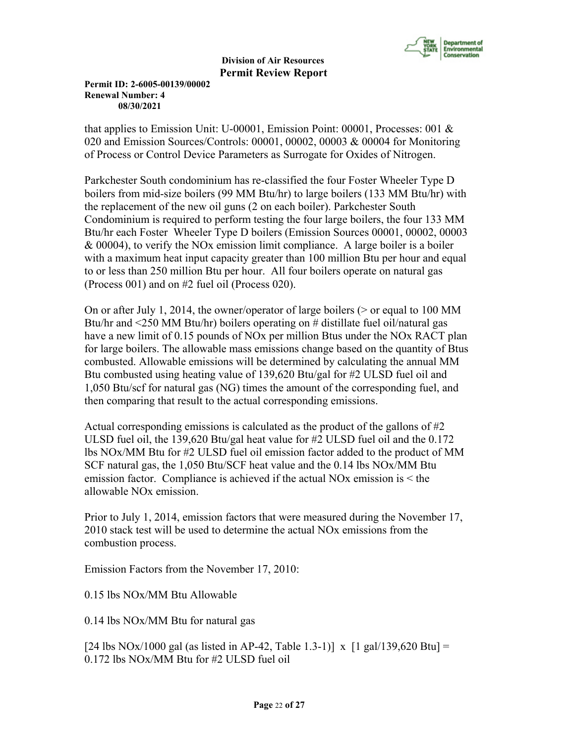

**Permit ID: 2-6005-00139/00002 Renewal Number: 4 08/30/2021**

that applies to Emission Unit: U-00001, Emission Point: 00001, Processes: 001 & 020 and Emission Sources/Controls: 00001, 00002, 00003 & 00004 for Monitoring of Process or Control Device Parameters as Surrogate for Oxides of Nitrogen.

Parkchester South condominium has re-classified the four Foster Wheeler Type D boilers from mid-size boilers (99 MM Btu/hr) to large boilers (133 MM Btu/hr) with the replacement of the new oil guns (2 on each boiler). Parkchester South Condominium is required to perform testing the four large boilers, the four 133 MM Btu/hr each Foster Wheeler Type D boilers (Emission Sources 00001, 00002, 00003 & 00004), to verify the NOx emission limit compliance. A large boiler is a boiler with a maximum heat input capacity greater than 100 million Btu per hour and equal to or less than 250 million Btu per hour. All four boilers operate on natural gas (Process 001) and on #2 fuel oil (Process 020).

On or after July 1, 2014, the owner/operator of large boilers ( $>$  or equal to 100 MM Btu/hr and <250 MM Btu/hr) boilers operating on # distillate fuel oil/natural gas have a new limit of 0.15 pounds of NOx per million Btus under the NOx RACT plan for large boilers. The allowable mass emissions change based on the quantity of Btus combusted. Allowable emissions will be determined by calculating the annual MM Btu combusted using heating value of 139,620 Btu/gal for #2 ULSD fuel oil and 1,050 Btu/scf for natural gas (NG) times the amount of the corresponding fuel, and then comparing that result to the actual corresponding emissions.

Actual corresponding emissions is calculated as the product of the gallons of  $\#2$ ULSD fuel oil, the 139,620 Btu/gal heat value for #2 ULSD fuel oil and the 0.172 lbs NOx/MM Btu for #2 ULSD fuel oil emission factor added to the product of MM SCF natural gas, the 1,050 Btu/SCF heat value and the 0.14 lbs NOx/MM Btu emission factor. Compliance is achieved if the actual NOx emission is < the allowable NOx emission.

Prior to July 1, 2014, emission factors that were measured during the November 17, 2010 stack test will be used to determine the actual NOx emissions from the combustion process.

Emission Factors from the November 17, 2010:

0.15 lbs NOx/MM Btu Allowable

0.14 lbs NOx/MM Btu for natural gas

[24 lbs NOx/1000 gal (as listed in AP-42, Table 1.3-1)] x [1 gal/139,620 Btu] = 0.172 lbs NOx/MM Btu for #2 ULSD fuel oil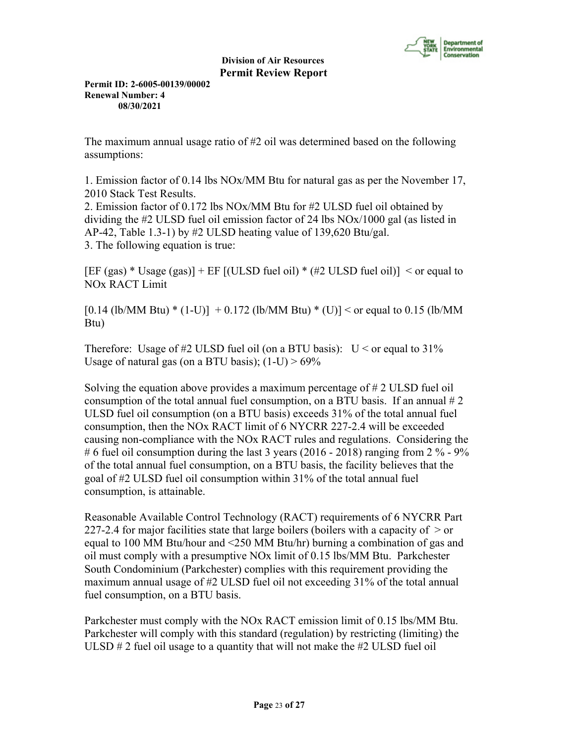

**Permit ID: 2-6005-00139/00002 Renewal Number: 4 08/30/2021**

The maximum annual usage ratio of #2 oil was determined based on the following assumptions:

1. Emission factor of 0.14 lbs NOx/MM Btu for natural gas as per the November 17, 2010 Stack Test Results.

2. Emission factor of 0.172 lbs NOx/MM Btu for #2 ULSD fuel oil obtained by dividing the #2 ULSD fuel oil emission factor of 24 lbs NOx/1000 gal (as listed in AP-42, Table 1.3-1) by  $#2$  ULSD heating value of 139,620 Btu/gal. 3. The following equation is true:

[EF (gas)  $*$  Usage (gas)] + EF [(ULSD fuel oil)  $*$  (#2 ULSD fuel oil)] < or equal to NOx RACT Limit

 $[0.14$  (lb/MM Btu) \*  $(1-U)] + 0.172$  (lb/MM Btu) \*  $(U)] <$  or equal to 0.15 (lb/MM Btu)

Therefore: Usage of #2 ULSD fuel oil (on a BTU basis):  $U \le$  or equal to 31% Usage of natural gas (on a BTU basis);  $(1-U) > 69\%$ 

Solving the equation above provides a maximum percentage of # 2 ULSD fuel oil consumption of the total annual fuel consumption, on a BTU basis. If an annual  $\# 2$ ULSD fuel oil consumption (on a BTU basis) exceeds 31% of the total annual fuel consumption, then the NOx RACT limit of 6 NYCRR 227-2.4 will be exceeded causing non-compliance with the NOx RACT rules and regulations. Considering the # 6 fuel oil consumption during the last 3 years (2016 - 2018) ranging from 2  $\%$  - 9% of the total annual fuel consumption, on a BTU basis, the facility believes that the goal of #2 ULSD fuel oil consumption within 31% of the total annual fuel consumption, is attainable.

Reasonable Available Control Technology (RACT) requirements of 6 NYCRR Part 227-2.4 for major facilities state that large boilers (boilers with a capacity of  $>$  or equal to 100 MM Btu/hour and <250 MM Btu/hr) burning a combination of gas and oil must comply with a presumptive NOx limit of 0.15 lbs/MM Btu. Parkchester South Condominium (Parkchester) complies with this requirement providing the maximum annual usage of #2 ULSD fuel oil not exceeding 31% of the total annual fuel consumption, on a BTU basis.

Parkchester must comply with the NOx RACT emission limit of 0.15 lbs/MM Btu. Parkchester will comply with this standard (regulation) by restricting (limiting) the ULSD  $\#$  2 fuel oil usage to a quantity that will not make the  $\#2$  ULSD fuel oil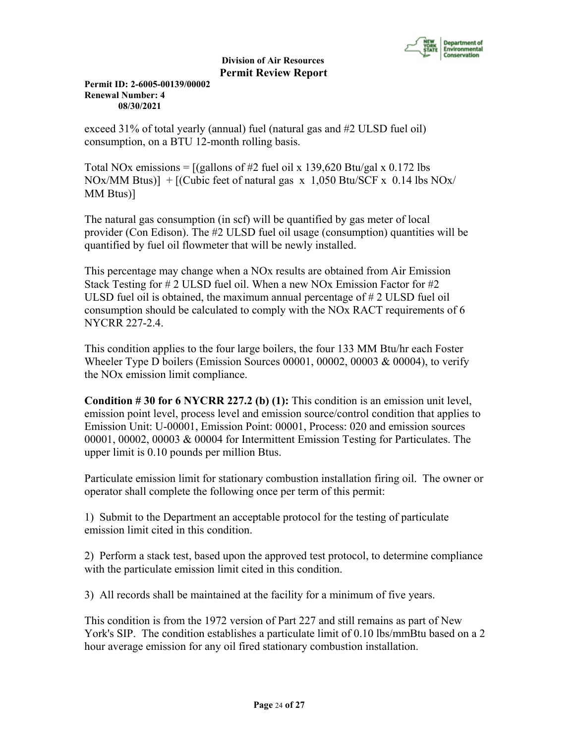

**Permit ID: 2-6005-00139/00002 Renewal Number: 4 08/30/2021**

exceed 31% of total yearly (annual) fuel (natural gas and #2 ULSD fuel oil) consumption, on a BTU 12-month rolling basis.

Total NOx emissions =  $[(\text{gallons of #2 fuel} \text{oil x } 139,620 \text{ Btu/gal x } 0.172 \text{ lbs}]$ NOx/MM Btus)]  $+$  [(Cubic feet of natural gas x 1,050 Btu/SCF x 0.14 lbs NOx/ MM Btus)]

The natural gas consumption (in scf) will be quantified by gas meter of local provider (Con Edison). The #2 ULSD fuel oil usage (consumption) quantities will be quantified by fuel oil flowmeter that will be newly installed.

This percentage may change when a NOx results are obtained from Air Emission Stack Testing for # 2 ULSD fuel oil. When a new NOx Emission Factor for #2 ULSD fuel oil is obtained, the maximum annual percentage of # 2 ULSD fuel oil consumption should be calculated to comply with the NOx RACT requirements of 6 NYCRR 227-2.4.

This condition applies to the four large boilers, the four 133 MM Btu/hr each Foster Wheeler Type D boilers (Emission Sources 00001, 00002, 00003 & 00004), to verify the NOx emission limit compliance.

**Condition # 30 for 6 NYCRR 227.2 (b) (1):** This condition is an emission unit level, emission point level, process level and emission source/control condition that applies to Emission Unit: U-00001, Emission Point: 00001, Process: 020 and emission sources 00001, 00002, 00003 & 00004 for Intermittent Emission Testing for Particulates. The upper limit is 0.10 pounds per million Btus.

Particulate emission limit for stationary combustion installation firing oil. The owner or operator shall complete the following once per term of this permit:

1) Submit to the Department an acceptable protocol for the testing of particulate emission limit cited in this condition.

2) Perform a stack test, based upon the approved test protocol, to determine compliance with the particulate emission limit cited in this condition.

3) All records shall be maintained at the facility for a minimum of five years.

This condition is from the 1972 version of Part 227 and still remains as part of New York's SIP. The condition establishes a particulate limit of 0.10 lbs/mmBtu based on a 2 hour average emission for any oil fired stationary combustion installation.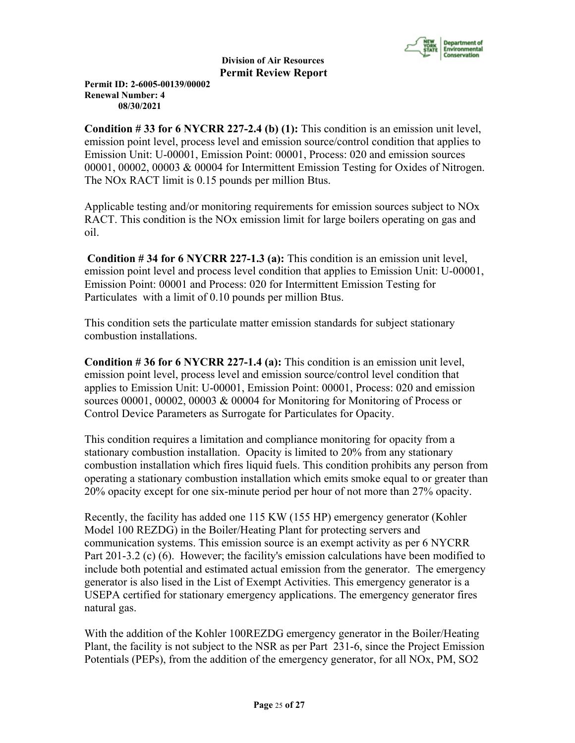

**Permit ID: 2-6005-00139/00002 Renewal Number: 4 08/30/2021**

**Condition # 33 for 6 NYCRR 227-2.4 (b) (1):** This condition is an emission unit level, emission point level, process level and emission source/control condition that applies to Emission Unit: U-00001, Emission Point: 00001, Process: 020 and emission sources 00001, 00002, 00003 & 00004 for Intermittent Emission Testing for Oxides of Nitrogen. The NOx RACT limit is 0.15 pounds per million Btus.

Applicable testing and/or monitoring requirements for emission sources subject to NOx RACT. This condition is the NOx emission limit for large boilers operating on gas and oil.

**Condition # 34 for 6 NYCRR 227-1.3 (a):** This condition is an emission unit level, emission point level and process level condition that applies to Emission Unit: U-00001, Emission Point: 00001 and Process: 020 for Intermittent Emission Testing for Particulates with a limit of 0.10 pounds per million Btus.

This condition sets the particulate matter emission standards for subject stationary combustion installations.

**Condition # 36 for 6 NYCRR 227-1.4 (a):** This condition is an emission unit level, emission point level, process level and emission source/control level condition that applies to Emission Unit: U-00001, Emission Point: 00001, Process: 020 and emission sources 00001, 00002, 00003 & 00004 for Monitoring for Monitoring of Process or Control Device Parameters as Surrogate for Particulates for Opacity.

This condition requires a limitation and compliance monitoring for opacity from a stationary combustion installation. Opacity is limited to 20% from any stationary combustion installation which fires liquid fuels. This condition prohibits any person from operating a stationary combustion installation which emits smoke equal to or greater than 20% opacity except for one six-minute period per hour of not more than 27% opacity.

Recently, the facility has added one 115 KW (155 HP) emergency generator (Kohler Model 100 REZDG) in the Boiler/Heating Plant for protecting servers and communication systems. This emission source is an exempt activity as per 6 NYCRR Part 201-3.2 (c) (6). However; the facility's emission calculations have been modified to include both potential and estimated actual emission from the generator. The emergency generator is also lised in the List of Exempt Activities. This emergency generator is a USEPA certified for stationary emergency applications. The emergency generator fires natural gas.

With the addition of the Kohler 100REZDG emergency generator in the Boiler/Heating Plant, the facility is not subject to the NSR as per Part 231-6, since the Project Emission Potentials (PEPs), from the addition of the emergency generator, for all NOx, PM, SO2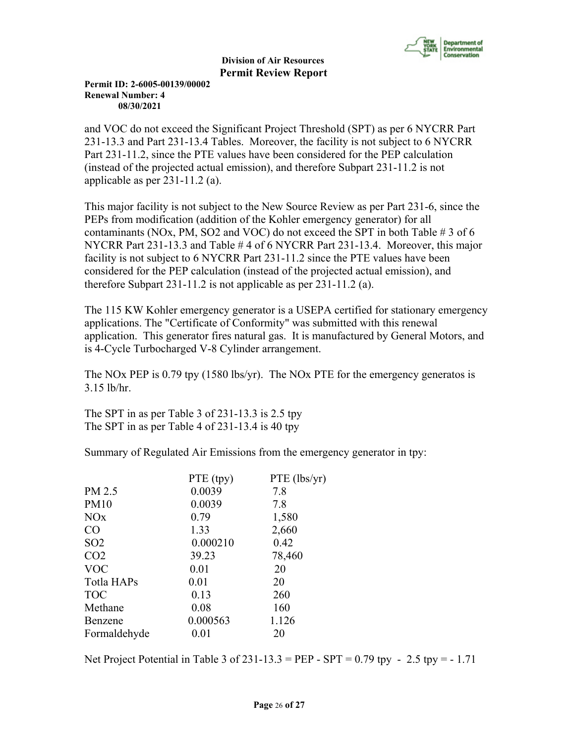

**Permit ID: 2-6005-00139/00002 Renewal Number: 4 08/30/2021**

and VOC do not exceed the Significant Project Threshold (SPT) as per 6 NYCRR Part 231-13.3 and Part 231-13.4 Tables. Moreover, the facility is not subject to 6 NYCRR Part 231-11.2, since the PTE values have been considered for the PEP calculation (instead of the projected actual emission), and therefore Subpart 231-11.2 is not applicable as per 231-11.2 (a).

This major facility is not subject to the New Source Review as per Part 231-6, since the PEPs from modification (addition of the Kohler emergency generator) for all contaminants (NOx, PM, SO2 and VOC) do not exceed the SPT in both Table # 3 of 6 NYCRR Part 231-13.3 and Table # 4 of 6 NYCRR Part 231-13.4. Moreover, this major facility is not subject to 6 NYCRR Part 231-11.2 since the PTE values have been considered for the PEP calculation (instead of the projected actual emission), and therefore Subpart 231-11.2 is not applicable as per 231-11.2 (a).

The 115 KW Kohler emergency generator is a USEPA certified for stationary emergency applications. The "Certificate of Conformity" was submitted with this renewal application. This generator fires natural gas. It is manufactured by General Motors, and is 4-Cycle Turbocharged V-8 Cylinder arrangement.

The NOx PEP is 0.79 tpy (1580 lbs/yr). The NOx PTE for the emergency generatos is 3.15 lb/hr.

The SPT in as per Table 3 of 231-13.3 is 2.5 tpy The SPT in as per Table 4 of 231-13.4 is 40 tpy

Summary of Regulated Air Emissions from the emergency generator in tpy:

|                       | PTE (tpy) | PTE (lbs/yr) |
|-----------------------|-----------|--------------|
| PM 2.5                | 0.0039    | 7.8          |
| <b>PM10</b>           | 0.0039    | 7.8          |
| <b>NO<sub>x</sub></b> | 0.79      | 1,580        |
| CO                    | 1.33      | 2,660        |
| SO <sub>2</sub>       | 0.000210  | 0.42         |
| CO <sub>2</sub>       | 39.23     | 78,460       |
| <b>VOC</b>            | 0.01      | 20           |
| Totla HAPs            | 0.01      | 20           |
| <b>TOC</b>            | 0.13      | 260          |
| Methane               | 0.08      | 160          |
| Benzene               | 0.000563  | 1.126        |
| Formaldehyde          | 0.01      | 20           |

Net Project Potential in Table 3 of 231-13.3 = PEP - SPT = 0.79 tpy - 2.5 tpy = - 1.71